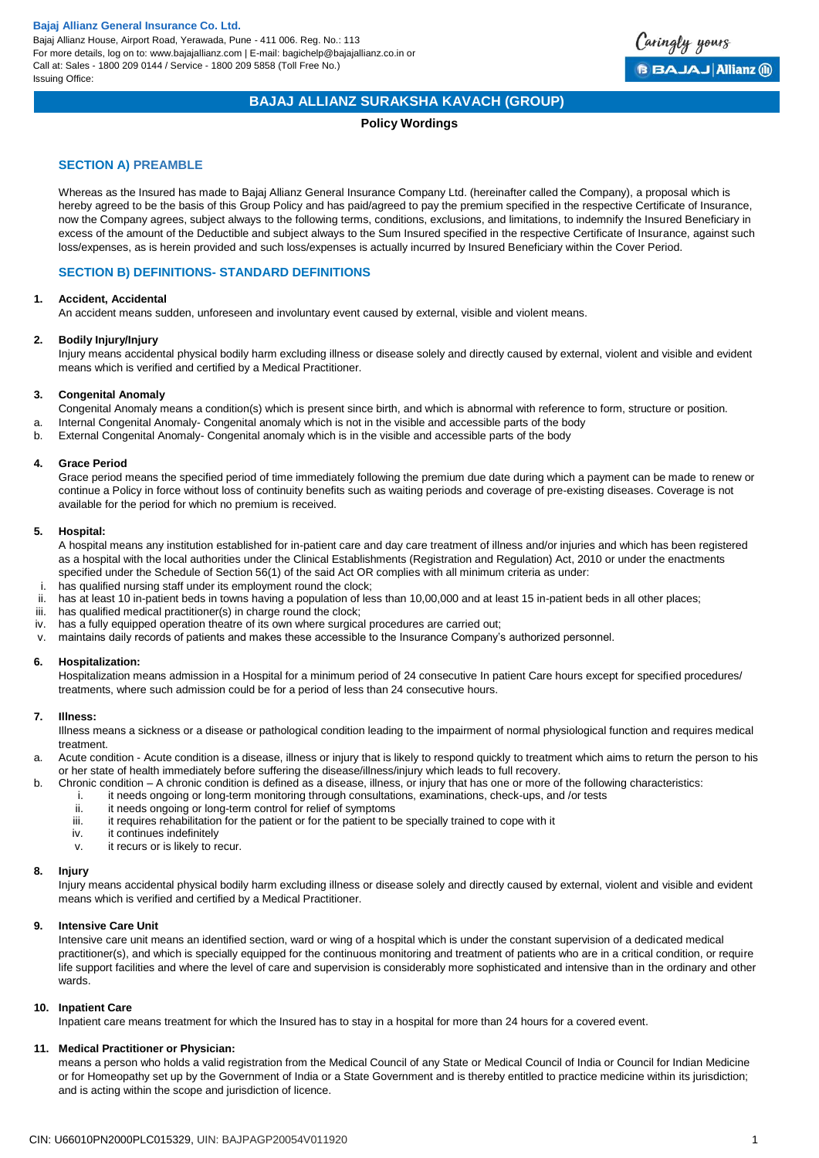

## **BAJAJ ALLIANZ SURAKSHA KAVACH (GROUP)**

### **Policy Wordings**

## **SECTION A) PREAMBLE**

Whereas as the Insured has made to Bajaj Allianz General Insurance Company Ltd. (hereinafter called the Company), a proposal which is hereby agreed to be the basis of this Group Policy and has paid/agreed to pay the premium specified in the respective Certificate of Insurance, now the Company agrees, subject always to the following terms, conditions, exclusions, and limitations, to indemnify the Insured Beneficiary in excess of the amount of the Deductible and subject always to the Sum Insured specified in the respective Certificate of Insurance, against such loss/expenses, as is herein provided and such loss/expenses is actually incurred by Insured Beneficiary within the Cover Period.

### **SECTION B) DEFINITIONS- STANDARD DEFINITIONS**

#### **1. Accident, Accidental**

An accident means sudden, unforeseen and involuntary event caused by external, visible and violent means.

#### **2. Bodily Injury/Injury**

Injury means accidental physical bodily harm excluding illness or disease solely and directly caused by external, violent and visible and evident means which is verified and certified by a Medical Practitioner.

#### **3. Congenital Anomaly**

Congenital Anomaly means a condition(s) which is present since birth, and which is abnormal with reference to form, structure or position.

- a. Internal Congenital Anomaly- Congenital anomaly which is not in the visible and accessible parts of the body
- b. External Congenital Anomaly- Congenital anomaly which is in the visible and accessible parts of the body

#### **4. Grace Period**

Grace period means the specified period of time immediately following the premium due date during which a payment can be made to renew or continue a Policy in force without loss of continuity benefits such as waiting periods and coverage of pre-existing diseases. Coverage is not available for the period for which no premium is received.

#### **5. Hospital:**

A hospital means any institution established for in-patient care and day care treatment of illness and/or injuries and which has been registered as a hospital with the local authorities under the Clinical Establishments (Registration and Regulation) Act, 2010 or under the enactments specified under the Schedule of Section 56(1) of the said Act OR complies with all minimum criteria as under:

- i. has qualified nursing staff under its employment round the clock;
- ii. has at least 10 in-patient beds in towns having a population of less than 10,00,000 and at least 15 in-patient beds in all other places;
- iii. has qualified medical practitioner(s) in charge round the clock;
- iv. has a fully equipped operation theatre of its own where surgical procedures are carried out;
- v. maintains daily records of patients and makes these accessible to the Insurance Company's authorized personnel.

#### **6. Hospitalization:**

Hospitalization means admission in a Hospital for a minimum period of 24 consecutive In patient Care hours except for specified procedures/ treatments, where such admission could be for a period of less than 24 consecutive hours.

#### **7. Illness:**

Illness means a sickness or a disease or pathological condition leading to the impairment of normal physiological function and requires medical treatment.

- a. Acute condition Acute condition is a disease, illness or injury that is likely to respond quickly to treatment which aims to return the person to his or her state of health immediately before suffering the disease/illness/injury which leads to full recovery.
- b. Chronic condition A chronic condition is defined as a disease, illness, or injury that has one or more of the following characteristics:
	- i. it needs ongoing or long-term monitoring through consultations, examinations, check-ups, and /or tests
	- ii. it needs ongoing or long-term control for relief of symptoms
	- iii. it requires rehabilitation for the patient or for the patient to be specially trained to cope with it iv.
	- it continues indefinitely
	- v. it recurs or is likely to recur.

#### **8. Injury**

Injury means accidental physical bodily harm excluding illness or disease solely and directly caused by external, violent and visible and evident means which is verified and certified by a Medical Practitioner.

#### **9. Intensive Care Unit**

Intensive care unit means an identified section, ward or wing of a hospital which is under the constant supervision of a dedicated medical practitioner(s), and which is specially equipped for the continuous monitoring and treatment of patients who are in a critical condition, or require life support facilities and where the level of care and supervision is considerably more sophisticated and intensive than in the ordinary and other wards.

#### **10. Inpatient Care**

Inpatient care means treatment for which the Insured has to stay in a hospital for more than 24 hours for a covered event.

#### **11. Medical Practitioner or Physician:**

means a person who holds a valid registration from the Medical Council of any State or Medical Council of India or Council for Indian Medicine or for Homeopathy set up by the Government of India or a State Government and is thereby entitled to practice medicine within its jurisdiction; and is acting within the scope and jurisdiction of licence.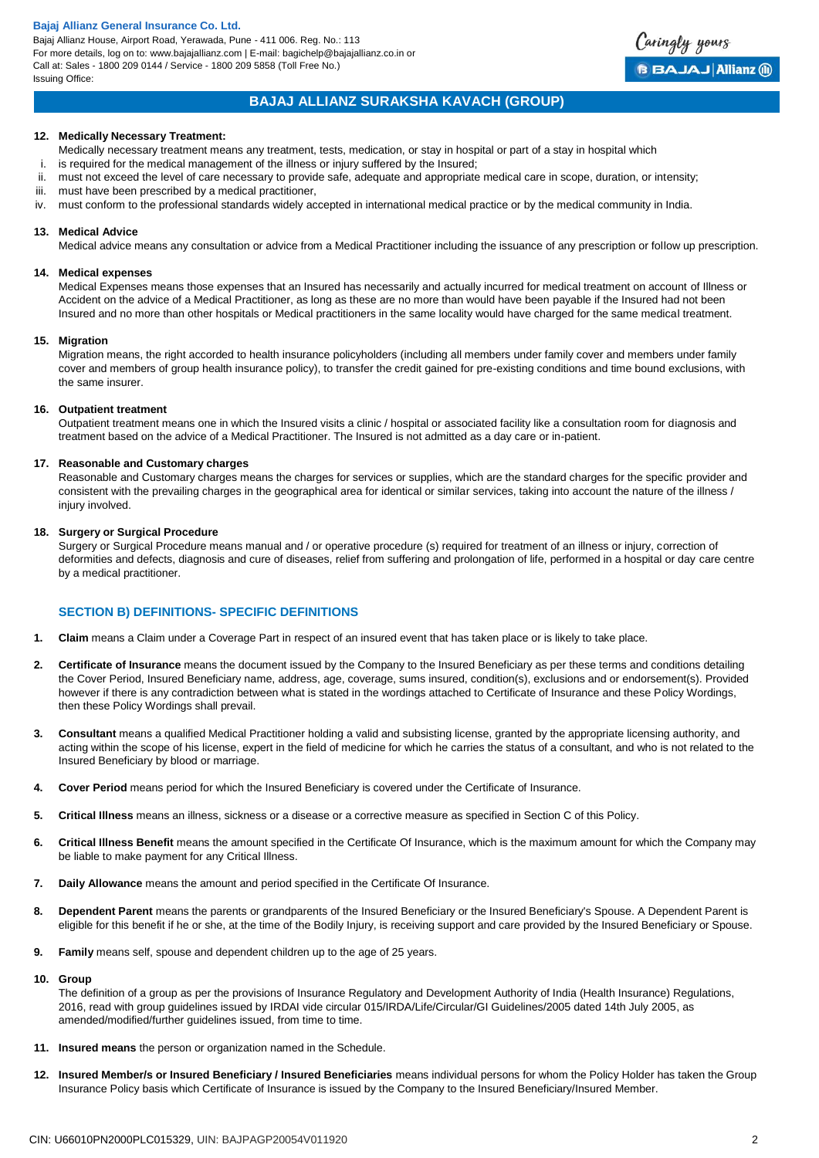Bajaj Allianz House, Airport Road, Yerawada, Pune - 411 006. Reg. No.: 113 For more details, log on to: www.bajajallianz.com | E-mail: bagichelp@bajajallianz.co.in or Call at: Sales - 1800 209 0144 / Service - 1800 209 5858 (Toll Free No.) Issuing Office:



## **BAJAJ ALLIANZ SURAKSHA KAVACH (GROUP)**

#### **12. Medically Necessary Treatment:**

- Medically necessary treatment means any treatment, tests, medication, or stay in hospital or part of a stay in hospital which
- i. is required for the medical management of the illness or injury suffered by the Insured;
- ii. must not exceed the level of care necessary to provide safe, adequate and appropriate medical care in scope, duration, or intensity;
- iii. must have been prescribed by a medical practitioner,
- iv. must conform to the professional standards widely accepted in international medical practice or by the medical community in India.

### **13. Medical Advice**

Medical advice means any consultation or advice from a Medical Practitioner including the issuance of any prescription or follow up prescription.

#### **14. Medical expenses**

Medical Expenses means those expenses that an Insured has necessarily and actually incurred for medical treatment on account of Illness or Accident on the advice of a Medical Practitioner, as long as these are no more than would have been payable if the Insured had not been Insured and no more than other hospitals or Medical practitioners in the same locality would have charged for the same medical treatment.

#### **15. Migration**

Migration means, the right accorded to health insurance policyholders (including all members under family cover and members under family cover and members of group health insurance policy), to transfer the credit gained for pre-existing conditions and time bound exclusions, with the same insurer.

#### **16. Outpatient treatment**

Outpatient treatment means one in which the Insured visits a clinic / hospital or associated facility like a consultation room for diagnosis and treatment based on the advice of a Medical Practitioner. The Insured is not admitted as a day care or in-patient.

#### **17. Reasonable and Customary charges**

Reasonable and Customary charges means the charges for services or supplies, which are the standard charges for the specific provider and consistent with the prevailing charges in the geographical area for identical or similar services, taking into account the nature of the illness / injury involved.

#### **18. Surgery or Surgical Procedure**

Surgery or Surgical Procedure means manual and / or operative procedure (s) required for treatment of an illness or injury, correction of deformities and defects, diagnosis and cure of diseases, relief from suffering and prolongation of life, performed in a hospital or day care centre by a medical practitioner.

## **SECTION B) DEFINITIONS- SPECIFIC DEFINITIONS**

- **1. Claim** means a Claim under a Coverage Part in respect of an insured event that has taken place or is likely to take place.
- **2. Certificate of Insurance** means the document issued by the Company to the Insured Beneficiary as per these terms and conditions detailing the Cover Period, Insured Beneficiary name, address, age, coverage, sums insured, condition(s), exclusions and or endorsement(s). Provided however if there is any contradiction between what is stated in the wordings attached to Certificate of Insurance and these Policy Wordings, then these Policy Wordings shall prevail.
- **3. Consultant** means a qualified Medical Practitioner holding a valid and subsisting license, granted by the appropriate licensing authority, and acting within the scope of his license, expert in the field of medicine for which he carries the status of a consultant, and who is not related to the Insured Beneficiary by blood or marriage.
- **4. Cover Period** means period for which the Insured Beneficiary is covered under the Certificate of Insurance.
- **5. Critical Illness** means an illness, sickness or a disease or a corrective measure as specified in Section C of this Policy.
- **6. Critical Illness Benefit** means the amount specified in the Certificate Of Insurance, which is the maximum amount for which the Company may be liable to make payment for any Critical Illness.
- **7. Daily Allowance** means the amount and period specified in the Certificate Of Insurance.
- 8. Dependent Parent means the parents or grandparents of the Insured Beneficiary or the Insured Beneficiary's Spouse. A Dependent Parent is eligible for this benefit if he or she, at the time of the Bodily Injury, is receiving support and care provided by the Insured Beneficiary or Spouse.
- **9. Family** means self, spouse and dependent children up to the age of 25 years.

#### **10. Group**

The definition of a group as per the provisions of Insurance Regulatory and Development Authority of India (Health Insurance) Regulations, 2016, read with group guidelines issued by IRDAI vide circular 015/IRDA/Life/Circular/GI Guidelines/2005 dated 14th July 2005, as amended/modified/further guidelines issued, from time to time.

- **11. Insured means** the person or organization named in the Schedule.
- **12. Insured Member/s or Insured Beneficiary / Insured Beneficiaries** means individual persons for whom the Policy Holder has taken the Group Insurance Policy basis which Certificate of Insurance is issued by the Company to the Insured Beneficiary/Insured Member.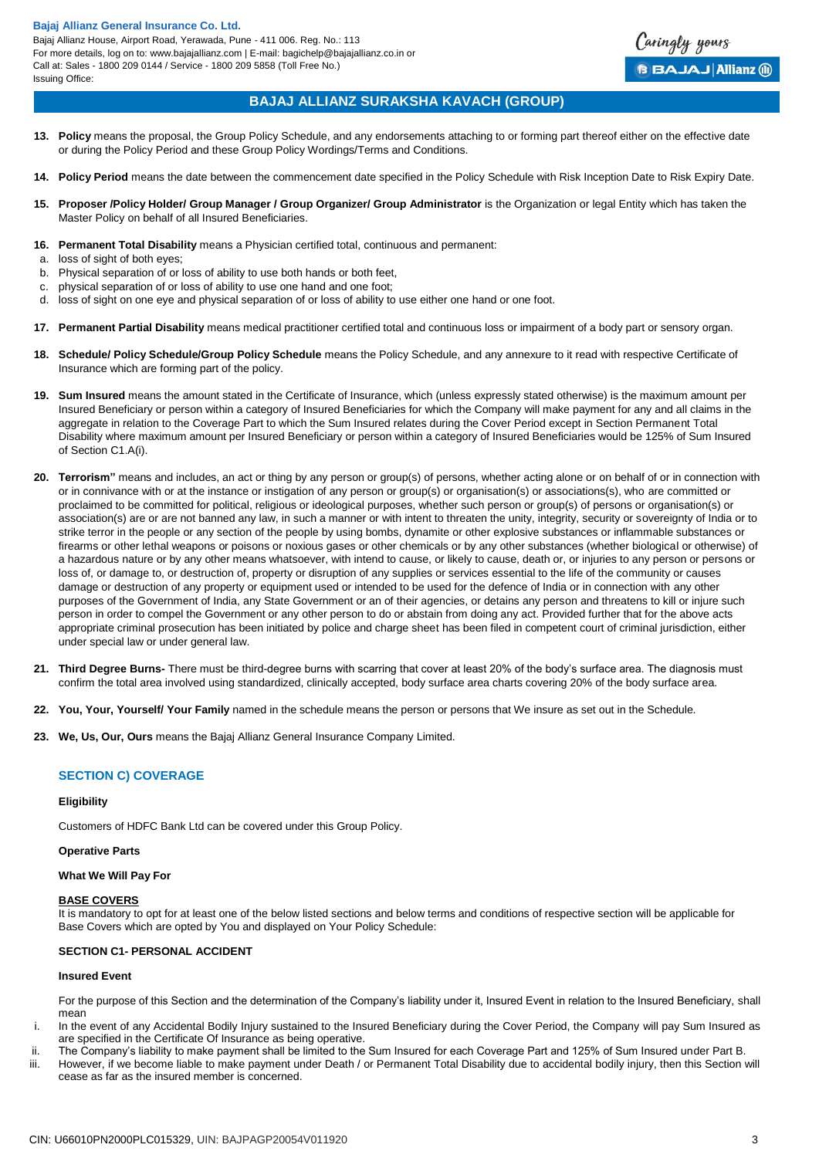

## **BAJAJ ALLIANZ SURAKSHA KAVACH (GROUP)**

- **13. Policy** means the proposal, the Group Policy Schedule, and any endorsements attaching to or forming part thereof either on the effective date or during the Policy Period and these Group Policy Wordings/Terms and Conditions.
- **14. Policy Period** means the date between the commencement date specified in the Policy Schedule with Risk Inception Date to Risk Expiry Date.
- 15. Proposer /Policy Holder/ Group Manager / Group Organizer/ Group Administrator is the Organization or legal Entity which has taken the Master Policy on behalf of all Insured Beneficiaries.
- **16. Permanent Total Disability** means a Physician certified total, continuous and permanent:
- a. loss of sight of both eyes;
- b. Physical separation of or loss of ability to use both hands or both feet,
- c. physical separation of or loss of ability to use one hand and one foot;
- d. loss of sight on one eye and physical separation of or loss of ability to use either one hand or one foot.
- **17. Permanent Partial Disability** means medical practitioner certified total and continuous loss or impairment of a body part or sensory organ.
- **18. Schedule/ Policy Schedule/Group Policy Schedule** means the Policy Schedule, and any annexure to it read with respective Certificate of Insurance which are forming part of the policy.
- **19. Sum Insured** means the amount stated in the Certificate of Insurance, which (unless expressly stated otherwise) is the maximum amount per Insured Beneficiary or person within a category of Insured Beneficiaries for which the Company will make payment for any and all claims in the aggregate in relation to the Coverage Part to which the Sum Insured relates during the Cover Period except in Section Permanent Total Disability where maximum amount per Insured Beneficiary or person within a category of Insured Beneficiaries would be 125% of Sum Insured of Section C1.A(i).
- **20. Terrorism"** means and includes, an act or thing by any person or group(s) of persons, whether acting alone or on behalf of or in connection with or in connivance with or at the instance or instigation of any person or group(s) or organisation(s) or associations(s), who are committed or proclaimed to be committed for political, religious or ideological purposes, whether such person or group(s) of persons or organisation(s) or association(s) are or are not banned any law, in such a manner or with intent to threaten the unity, integrity, security or sovereignty of India or to strike terror in the people or any section of the people by using bombs, dynamite or other explosive substances or inflammable substances or firearms or other lethal weapons or poisons or noxious gases or other chemicals or by any other substances (whether biological or otherwise) of a hazardous nature or by any other means whatsoever, with intend to cause, or likely to cause, death or, or injuries to any person or persons or loss of, or damage to, or destruction of, property or disruption of any supplies or services essential to the life of the community or causes damage or destruction of any property or equipment used or intended to be used for the defence of India or in connection with any other purposes of the Government of India, any State Government or an of their agencies, or detains any person and threatens to kill or injure such person in order to compel the Government or any other person to do or abstain from doing any act. Provided further that for the above acts appropriate criminal prosecution has been initiated by police and charge sheet has been filed in competent court of criminal jurisdiction, either under special law or under general law.
- **21. Third Degree Burns-** There must be third-degree burns with scarring that cover at least 20% of the body's surface area. The diagnosis must confirm the total area involved using standardized, clinically accepted, body surface area charts covering 20% of the body surface area.
- **22. You, Your, Yourself/ Your Family** named in the schedule means the person or persons that We insure as set out in the Schedule.
- **23. We, Us, Our, Ours** means the Bajaj Allianz General Insurance Company Limited.

## **SECTION C) COVERAGE**

#### **Eligibility**

Customers of HDFC Bank Ltd can be covered under this Group Policy.

#### **Operative Parts**

#### **What We Will Pay For**

#### **BASE COVERS**

It is mandatory to opt for at least one of the below listed sections and below terms and conditions of respective section will be applicable for Base Covers which are opted by You and displayed on Your Policy Schedule:

## **SECTION C1- PERSONAL ACCIDENT**

#### **Insured Event**

For the purpose of this Section and the determination of the Company's liability under it, Insured Event in relation to the Insured Beneficiary, shall mean

- i. In the event of any Accidental Bodily Injury sustained to the Insured Beneficiary during the Cover Period, the Company will pay Sum Insured as are specified in the Certificate Of Insurance as being operative.
- ii. The Company's liability to make payment shall be limited to the Sum Insured for each Coverage Part and 125% of Sum Insured under Part B.
- iii. However, if we become liable to make payment under Death / or Permanent Total Disability due to accidental bodily injury, then this Section will cease as far as the insured member is concerned.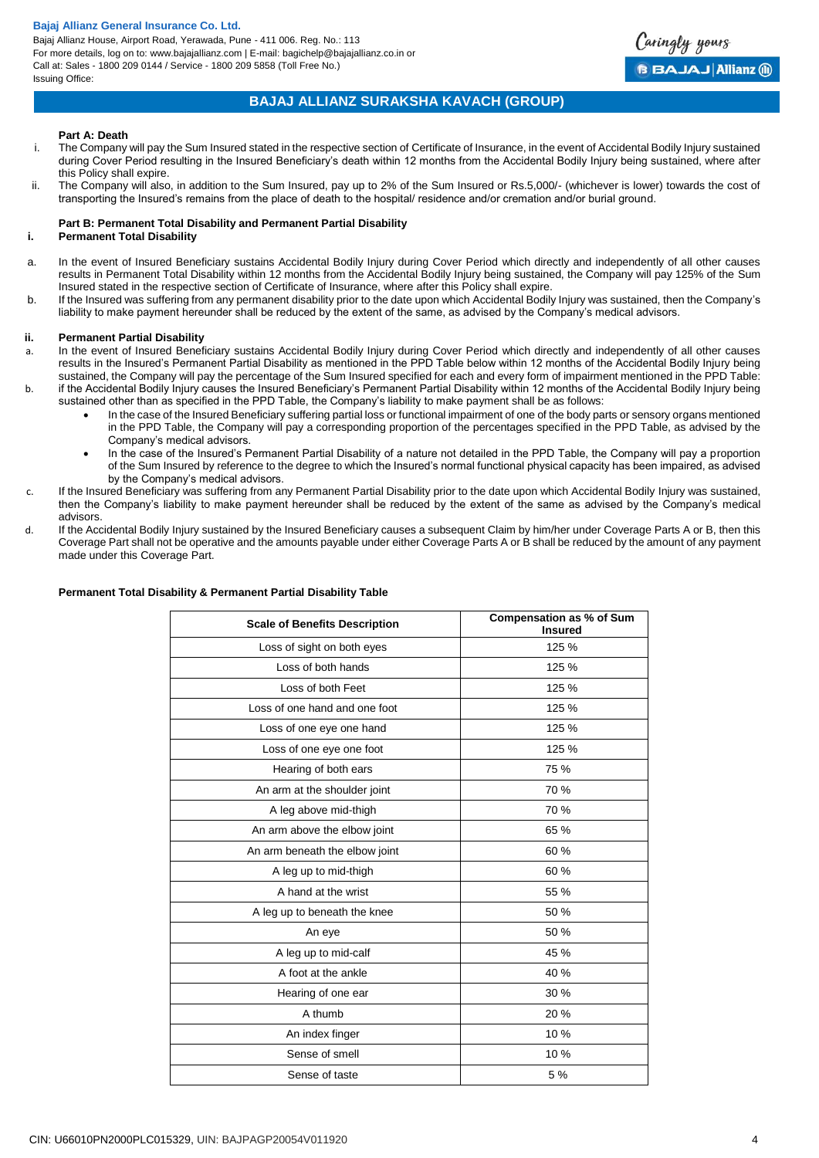Bajaj Allianz House, Airport Road, Yerawada, Pune - 411 006. Reg. No.: 113 For more details, log on to: www.bajajallianz.com | E-mail: bagichelp@bajajallianz.co.in or Call at: Sales - 1800 209 0144 / Service - 1800 209 5858 (Toll Free No.) Issuing Office:



## **BAJAJ ALLIANZ SURAKSHA KAVACH (GROUP)**

#### **Part A: Death**

- i. The Company will pay the Sum Insured stated in the respective section of Certificate of Insurance, in the event of Accidental Bodily Injury sustained during Cover Period resulting in the Insured Beneficiary's death within 12 months from the Accidental Bodily Injury being sustained, where after this Policy shall expire.
- ii. The Company will also, in addition to the Sum Insured, pay up to 2% of the Sum Insured or Rs.5,000/- (whichever is lower) towards the cost of transporting the Insured's remains from the place of death to the hospital/ residence and/or cremation and/or burial ground.

## **Part B: Permanent Total Disability and Permanent Partial Disability**

## **i. Permanent Total Disability**

- a. In the event of Insured Beneficiary sustains Accidental Bodily Injury during Cover Period which directly and independently of all other causes results in Permanent Total Disability within 12 months from the Accidental Bodily Injury being sustained, the Company will pay 125% of the Sum Insured stated in the respective section of Certificate of Insurance, where after this Policy shall expire.
- b. If the Insured was suffering from any permanent disability prior to the date upon which Accidental Bodily Injury was sustained, then the Company's liability to make payment hereunder shall be reduced by the extent of the same, as advised by the Company's medical advisors.

#### **ii. Permanent Partial Disability**

- a. In the event of Insured Beneficiary sustains Accidental Bodily Injury during Cover Period which directly and independently of all other causes results in the Insured's Permanent Partial Disability as mentioned in the PPD Table below within 12 months of the Accidental Bodily Injury being sustained, the Company will pay the percentage of the Sum Insured specified for each and every form of impairment mentioned in the PPD Table: b. if the Accidental Bodily Injury causes the Insured Beneficiary's Permanent Partial Disability within 12 months of the Accidental Bodily Injury being
- sustained other than as specified in the PPD Table, the Company's liability to make payment shall be as follows:
	- In the case of the Insured Beneficiary suffering partial loss or functional impairment of one of the body parts or sensory organs mentioned in the PPD Table, the Company will pay a corresponding proportion of the percentages specified in the PPD Table, as advised by the Company's medical advisors.
	- In the case of the Insured's Permanent Partial Disability of a nature not detailed in the PPD Table, the Company will pay a proportion of the Sum Insured by reference to the degree to which the Insured's normal functional physical capacity has been impaired, as advised by the Company's medical advisors.
- If the Insured Beneficiary was suffering from any Permanent Partial Disability prior to the date upon which Accidental Bodily Injury was sustained, then the Company's liability to make payment hereunder shall be reduced by the extent of the same as advised by the Company's medical advisors.
- d. If the Accidental Bodily Injury sustained by the Insured Beneficiary causes a subsequent Claim by him/her under Coverage Parts A or B, then this Coverage Part shall not be operative and the amounts payable under either Coverage Parts A or B shall be reduced by the amount of any payment made under this Coverage Part.

| <b>Scale of Benefits Description</b> | <b>Compensation as % of Sum</b><br><b>Insured</b> |
|--------------------------------------|---------------------------------------------------|
| Loss of sight on both eyes           | 125 %                                             |
| Loss of both hands                   | 125 %                                             |
| Loss of both Feet                    | 125 %                                             |
| Loss of one hand and one foot        | 125 %                                             |
| Loss of one eye one hand             | 125 %                                             |
| Loss of one eye one foot             | 125 %                                             |
| Hearing of both ears                 | 75 %                                              |
| An arm at the shoulder joint         | 70 %                                              |
| A leg above mid-thigh                | 70 %                                              |
| An arm above the elbow joint         | 65 %                                              |
| An arm beneath the elbow joint       | 60 %                                              |
| A leg up to mid-thigh                | 60 %                                              |
| A hand at the wrist                  | 55 %                                              |
| A leg up to beneath the knee         | 50 %                                              |
| An eye                               | 50 %                                              |
| A leg up to mid-calf                 | 45 %                                              |
| A foot at the ankle                  | 40 %                                              |
| Hearing of one ear                   | 30%                                               |
| A thumb                              | 20 %                                              |
| An index finger                      | 10 %                                              |
| Sense of smell                       | 10 %                                              |
| Sense of taste                       | 5 %                                               |

## **Permanent Total Disability & Permanent Partial Disability Table**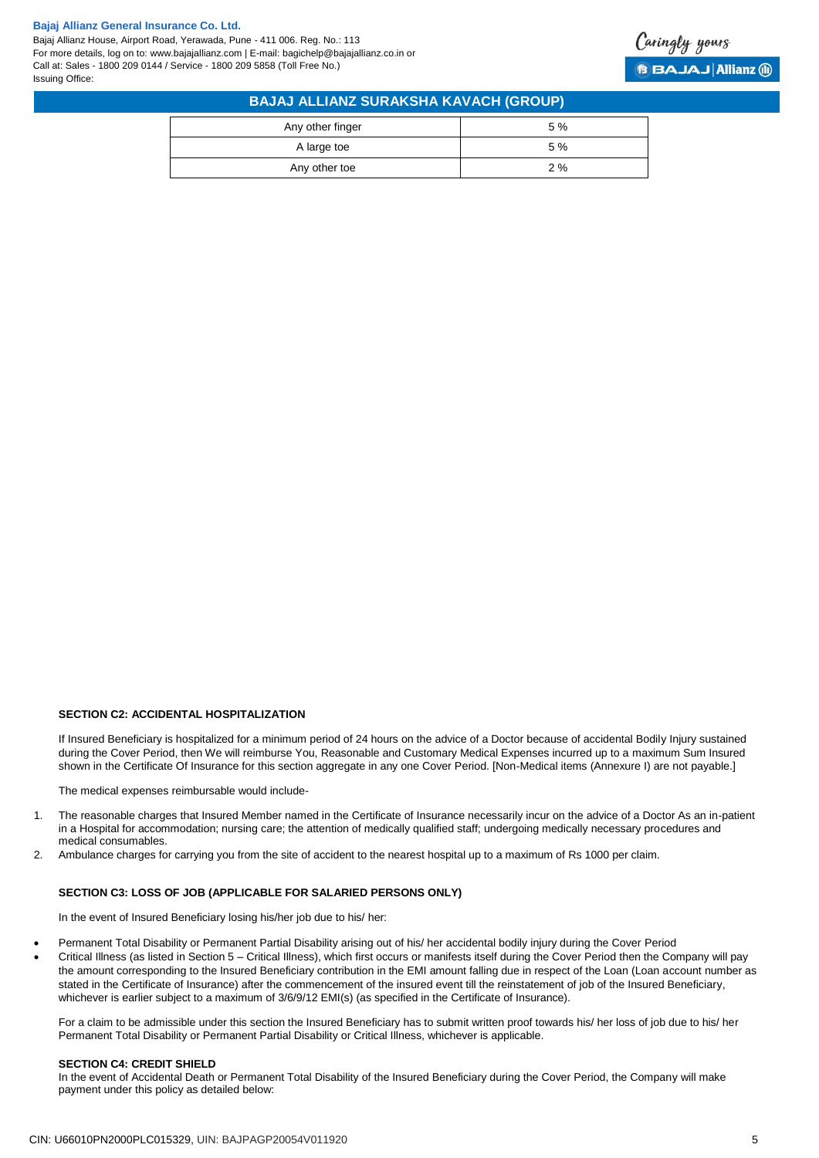Bajaj Allianz House, Airport Road, Yerawada, Pune - 411 006. Reg. No.: 113 For more details, log on to: www.bajajallianz.com | E-mail: bagichelp@bajajallianz.co.in or Call at: Sales - 1800 209 0144 / Service - 1800 209 5858 (Toll Free No.) Issuing Office:



| <b>BAJAJ ALLIANZ SURAKSHA KAVACH (GROUP)</b> |    |  |  |
|----------------------------------------------|----|--|--|
| Any other finger                             | 5% |  |  |
| A large toe                                  | 5% |  |  |
| Any other toe                                | 2% |  |  |

#### **SECTION C2: ACCIDENTAL HOSPITALIZATION**

If Insured Beneficiary is hospitalized for a minimum period of 24 hours on the advice of a Doctor because of accidental Bodily Injury sustained during the Cover Period, then We will reimburse You, Reasonable and Customary Medical Expenses incurred up to a maximum Sum Insured shown in the Certificate Of Insurance for this section aggregate in any one Cover Period. [Non-Medical items (Annexure I) are not payable.]

The medical expenses reimbursable would include-

- 1. The reasonable charges that Insured Member named in the Certificate of Insurance necessarily incur on the advice of a Doctor As an in-patient in a Hospital for accommodation; nursing care; the attention of medically qualified staff; undergoing medically necessary procedures and medical consumables.
- 2. Ambulance charges for carrying you from the site of accident to the nearest hospital up to a maximum of Rs 1000 per claim.

#### **SECTION C3: LOSS OF JOB (APPLICABLE FOR SALARIED PERSONS ONLY)**

In the event of Insured Beneficiary losing his/her job due to his/ her:

- Permanent Total Disability or Permanent Partial Disability arising out of his/ her accidental bodily injury during the Cover Period
- Critical Illness (as listed in Section 5 Critical Illness), which first occurs or manifests itself during the Cover Period then the Company will pay the amount corresponding to the Insured Beneficiary contribution in the EMI amount falling due in respect of the Loan (Loan account number as stated in the Certificate of Insurance) after the commencement of the insured event till the reinstatement of job of the Insured Beneficiary, whichever is earlier subject to a maximum of  $3/6/9/12$  EMI(s) (as specified in the Certificate of Insurance).

For a claim to be admissible under this section the Insured Beneficiary has to submit written proof towards his/ her loss of job due to his/ her Permanent Total Disability or Permanent Partial Disability or Critical Illness, whichever is applicable.

#### **SECTION C4: CREDIT SHIELD**

In the event of Accidental Death or Permanent Total Disability of the Insured Beneficiary during the Cover Period, the Company will make payment under this policy as detailed below: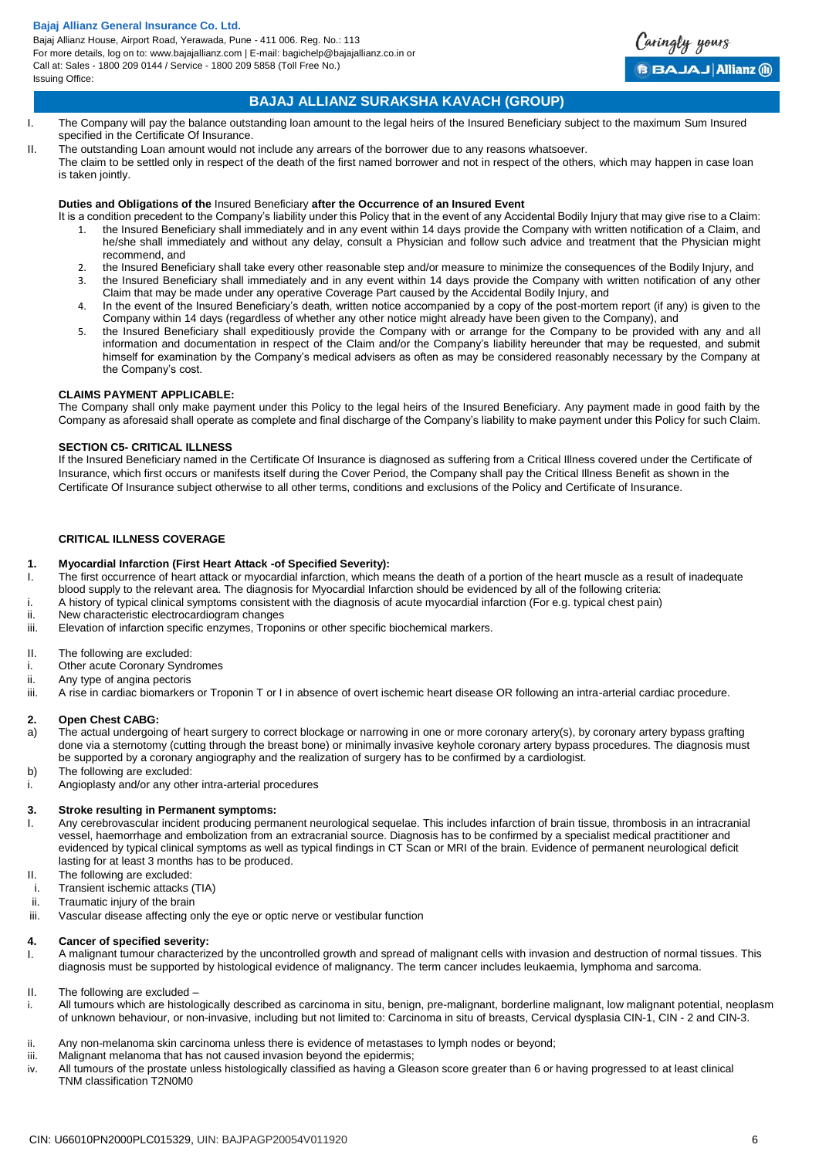Bajaj Allianz House, Airport Road, Yerawada, Pune - 411 006. Reg. No.: 113 For more details, log on to: www.bajajallianz.com | E-mail: bagichelp@bajajallianz.co.in or Call at: Sales - 1800 209 0144 / Service - 1800 209 5858 (Toll Free No.) Issuing Office:

## **BAJAJ ALLIANZ SURAKSHA KAVACH (GROUP)**

Caringly yours

**BBAJAJ Allianz @** 

- I. The Company will pay the balance outstanding loan amount to the legal heirs of the Insured Beneficiary subject to the maximum Sum Insured specified in the Certificate Of Insurance.
- II. The outstanding Loan amount would not include any arrears of the borrower due to any reasons whatsoever.
	- The claim to be settled only in respect of the death of the first named borrower and not in respect of the others, which may happen in case loan is taken jointly.

## **Duties and Obligations of the** Insured Beneficiary **after the Occurrence of an Insured Event**

- It is a condition precedent to the Company's liability under this Policy that in the event of any Accidental Bodily Injury that may give rise to a Claim:
	- 1. the Insured Beneficiary shall immediately and in any event within 14 days provide the Company with written notification of a Claim, and he/she shall immediately and without any delay, consult a Physician and follow such advice and treatment that the Physician might recommend, and
	- 2. the Insured Beneficiary shall take every other reasonable step and/or measure to minimize the consequences of the Bodily Injury, and
	- 3. the Insured Beneficiary shall immediately and in any event within 14 days provide the Company with written notification of any other Claim that may be made under any operative Coverage Part caused by the Accidental Bodily Injury, and
	- 4. In the event of the Insured Beneficiary's death, written notice accompanied by a copy of the post-mortem report (if any) is given to the Company within 14 days (regardless of whether any other notice might already have been given to the Company), and
	- 5. the Insured Beneficiary shall expeditiously provide the Company with or arrange for the Company to be provided with any and all information and documentation in respect of the Claim and/or the Company's liability hereunder that may be requested, and submit himself for examination by the Company's medical advisers as often as may be considered reasonably necessary by the Company at the Company's cost.

### **CLAIMS PAYMENT APPLICABLE:**

The Company shall only make payment under this Policy to the legal heirs of the Insured Beneficiary. Any payment made in good faith by the Company as aforesaid shall operate as complete and final discharge of the Company's liability to make payment under this Policy for such Claim.

#### **SECTION C5- CRITICAL ILLNESS**

If the Insured Beneficiary named in the Certificate Of Insurance is diagnosed as suffering from a Critical Illness covered under the Certificate of Insurance, which first occurs or manifests itself during the Cover Period, the Company shall pay the Critical Illness Benefit as shown in the Certificate Of Insurance subject otherwise to all other terms, conditions and exclusions of the Policy and Certificate of Insurance.

## **CRITICAL ILLNESS COVERAGE**

### **1. Myocardial Infarction (First Heart Attack -of Specified Severity):**

- I. The first occurrence of heart attack or myocardial infarction, which means the death of a portion of the heart muscle as a result of inadequate blood supply to the relevant area. The diagnosis for Myocardial Infarction should be evidenced by all of the following criteria:
	- A history of typical clinical symptoms consistent with the diagnosis of acute myocardial infarction (For e.g. typical chest pain)
- ii. New characteristic electrocardiogram changes
- iii. Elevation of infarction specific enzymes, Troponins or other specific biochemical markers.
- II. The following are excluded:
- i. Other acute Coronary Syndromes
- ii. Any type of angina pectoris
- iii. A rise in cardiac biomarkers or Troponin T or I in absence of overt ischemic heart disease OR following an intra-arterial cardiac procedure.

#### **2. Open Chest CABG:**

- a) The actual undergoing of heart surgery to correct blockage or narrowing in one or more coronary artery(s), by coronary artery bypass grafting done via a sternotomy (cutting through the breast bone) or minimally invasive keyhole coronary artery bypass procedures. The diagnosis must be supported by a coronary angiography and the realization of surgery has to be confirmed by a cardiologist.
- b) The following are excluded:
- i. Angioplasty and/or any other intra-arterial procedures

#### **3. Stroke resulting in Permanent symptoms:**

- I. Any cerebrovascular incident producing permanent neurological sequelae. This includes infarction of brain tissue, thrombosis in an intracranial vessel, haemorrhage and embolization from an extracranial source. Diagnosis has to be confirmed by a specialist medical practitioner and evidenced by typical clinical symptoms as well as typical findings in CT Scan or MRI of the brain. Evidence of permanent neurological deficit lasting for at least 3 months has to be produced.
- II. The following are excluded:
- i. Transient ischemic attacks (TIA)
- ii. Traumatic injury of the brain
- iii. Vascular disease affecting only the eye or optic nerve or vestibular function

#### **4. Cancer of specified severity:**

- I. A malignant tumour characterized by the uncontrolled growth and spread of malignant cells with invasion and destruction of normal tissues. This diagnosis must be supported by histological evidence of malignancy. The term cancer includes leukaemia, lymphoma and sarcoma.
- II. The following are excluded –
- i. All tumours which are histologically described as carcinoma in situ, benign, pre-malignant, borderline malignant, low malignant potential, neoplasm of unknown behaviour, or non-invasive, including but not limited to: Carcinoma in situ of breasts, Cervical dysplasia CIN-1, CIN - 2 and CIN-3.
- ii. Any non-melanoma skin carcinoma unless there is evidence of metastases to lymph nodes or beyond;
- iii. Malignant melanoma that has not caused invasion beyond the epidermis;
- iv. All tumours of the prostate unless histologically classified as having a Gleason score greater than 6 or having progressed to at least clinical TNM classification T2N0M0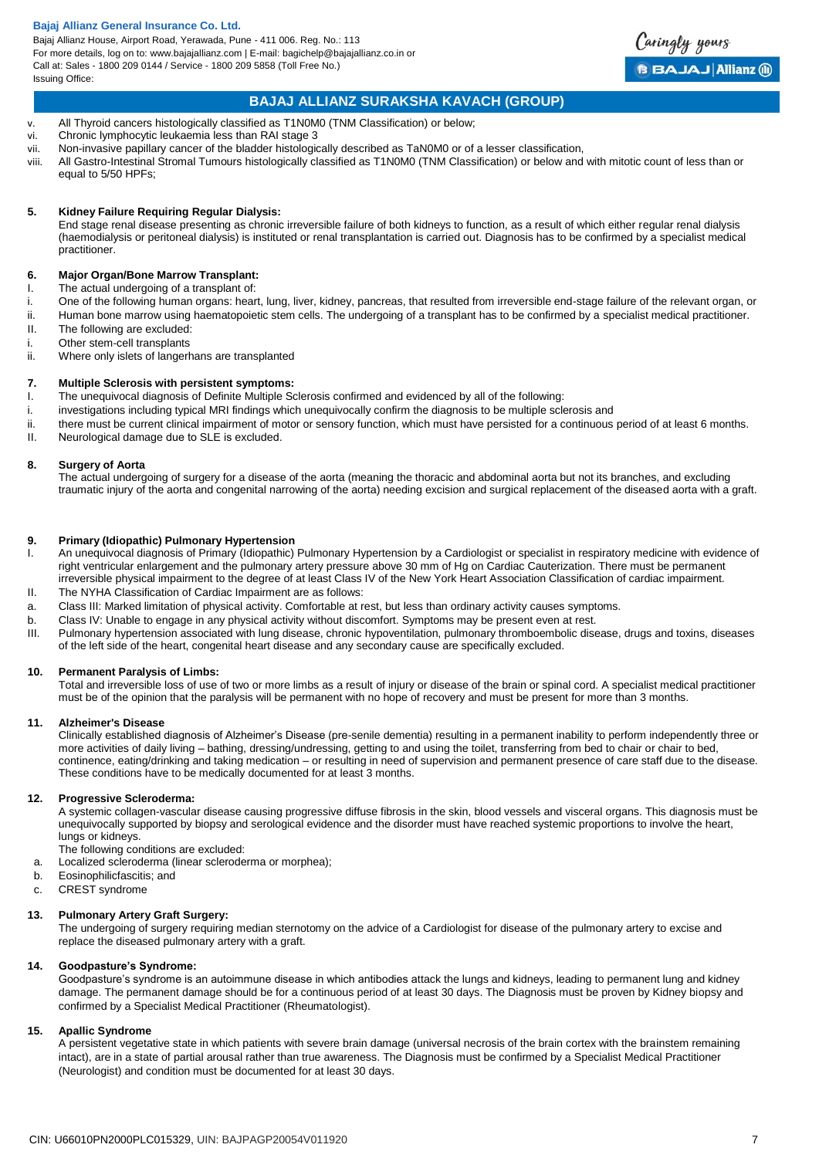Bajaj Allianz House, Airport Road, Yerawada, Pune - 411 006. Reg. No.: 113 For more details, log on to: www.bajajallianz.com | E-mail: bagichelp@bajajallianz.co.in or Call at: Sales - 1800 209 0144 / Service - 1800 209 5858 (Toll Free No.) Issuing Office:



## **BAJAJ ALLIANZ SURAKSHA KAVACH (GROUP)**

- v. All Thyroid cancers histologically classified as T1N0M0 (TNM Classification) or below;
- vi. Chronic lymphocytic leukaemia less than RAI stage 3
- vii. Non-invasive papillary cancer of the bladder histologically described as TaN0M0 or of a lesser classification,
- viii. All Gastro-Intestinal Stromal Tumours histologically classified as T1N0M0 (TNM Classification) or below and with mitotic count of less than or equal to 5/50 HPFs;

## **5. Kidney Failure Requiring Regular Dialysis:**

End stage renal disease presenting as chronic irreversible failure of both kidneys to function, as a result of which either regular renal dialysis (haemodialysis or peritoneal dialysis) is instituted or renal transplantation is carried out. Diagnosis has to be confirmed by a specialist medical practitioner.

### **6. Major Organ/Bone Marrow Transplant:**

- I. The actual undergoing of a transplant of:
- i. One of the following human organs: heart, lung, liver, kidney, pancreas, that resulted from irreversible end-stage failure of the relevant organ, or
- ii. Human bone marrow using haematopoietic stem cells. The undergoing of a transplant has to be confirmed by a specialist medical practitioner. II. The following are excluded:
- 
- i. Other stem-cell transplants<br>ii. Where only islets of langer Where only islets of langerhans are transplanted

## **7. Multiple Sclerosis with persistent symptoms:**

- I. The unequivocal diagnosis of Definite Multiple Sclerosis confirmed and evidenced by all of the following:
- i. investigations including typical MRI findings which unequivocally confirm the diagnosis to be multiple sclerosis and
- ii. there must be current clinical impairment of motor or sensory function, which must have persisted for a continuous period of at least 6 months.
- II. Neurological damage due to SLE is excluded.

## **8. Surgery of Aorta**

The actual undergoing of surgery for a disease of the aorta (meaning the thoracic and abdominal aorta but not its branches, and excluding traumatic injury of the aorta and congenital narrowing of the aorta) needing excision and surgical replacement of the diseased aorta with a graft.

#### **9. Primary (Idiopathic) Pulmonary Hypertension**

- I. An unequivocal diagnosis of Primary (Idiopathic) Pulmonary Hypertension by a Cardiologist or specialist in respiratory medicine with evidence of right ventricular enlargement and the pulmonary artery pressure above 30 mm of Hg on Cardiac Cauterization. There must be permanent irreversible physical impairment to the degree of at least Class IV of the New York Heart Association Classification of cardiac impairment.
- II. The NYHA Classification of Cardiac Impairment are as follows:
- a. Class III: Marked limitation of physical activity. Comfortable at rest, but less than ordinary activity causes symptoms.
- b. Class IV: Unable to engage in any physical activity without discomfort. Symptoms may be present even at rest.
- III. Pulmonary hypertension associated with lung disease, chronic hypoventilation, pulmonary thromboembolic disease, drugs and toxins, diseases of the left side of the heart, congenital heart disease and any secondary cause are specifically excluded.

#### **10. Permanent Paralysis of Limbs:**

Total and irreversible loss of use of two or more limbs as a result of injury or disease of the brain or spinal cord. A specialist medical practitioner must be of the opinion that the paralysis will be permanent with no hope of recovery and must be present for more than 3 months.

#### **11. Alzheimer's Disease**

Clinically established diagnosis of Alzheimer's Disease (pre-senile dementia) resulting in a permanent inability to perform independently three or more activities of daily living – bathing, dressing/undressing, getting to and using the toilet, transferring from bed to chair or chair to bed, continence, eating/drinking and taking medication – or resulting in need of supervision and permanent presence of care staff due to the disease. These conditions have to be medically documented for at least 3 months.

#### **12. Progressive Scleroderma:**

A systemic collagen-vascular disease causing progressive diffuse fibrosis in the skin, blood vessels and visceral organs. This diagnosis must be unequivocally supported by biopsy and serological evidence and the disorder must have reached systemic proportions to involve the heart, lungs or kidneys.

The following conditions are excluded:

- a. Localized scleroderma (linear scleroderma or morphea);
- b. Eosinophilicfascitis; and
- c. CREST syndrome

#### **13. Pulmonary Artery Graft Surgery:**

The undergoing of surgery requiring median sternotomy on the advice of a Cardiologist for disease of the pulmonary artery to excise and replace the diseased pulmonary artery with a graft.

#### **14. Goodpasture's Syndrome:**

Goodpasture's syndrome is an autoimmune disease in which antibodies attack the lungs and kidneys, leading to permanent lung and kidney damage. The permanent damage should be for a continuous period of at least 30 days. The Diagnosis must be proven by Kidney biopsy and confirmed by a Specialist Medical Practitioner (Rheumatologist).

#### **15. Apallic Syndrome**

A persistent vegetative state in which patients with severe brain damage (universal necrosis of the brain cortex with the brainstem remaining intact), are in a state of partial arousal rather than true awareness. The Diagnosis must be confirmed by a Specialist Medical Practitioner (Neurologist) and condition must be documented for at least 30 days.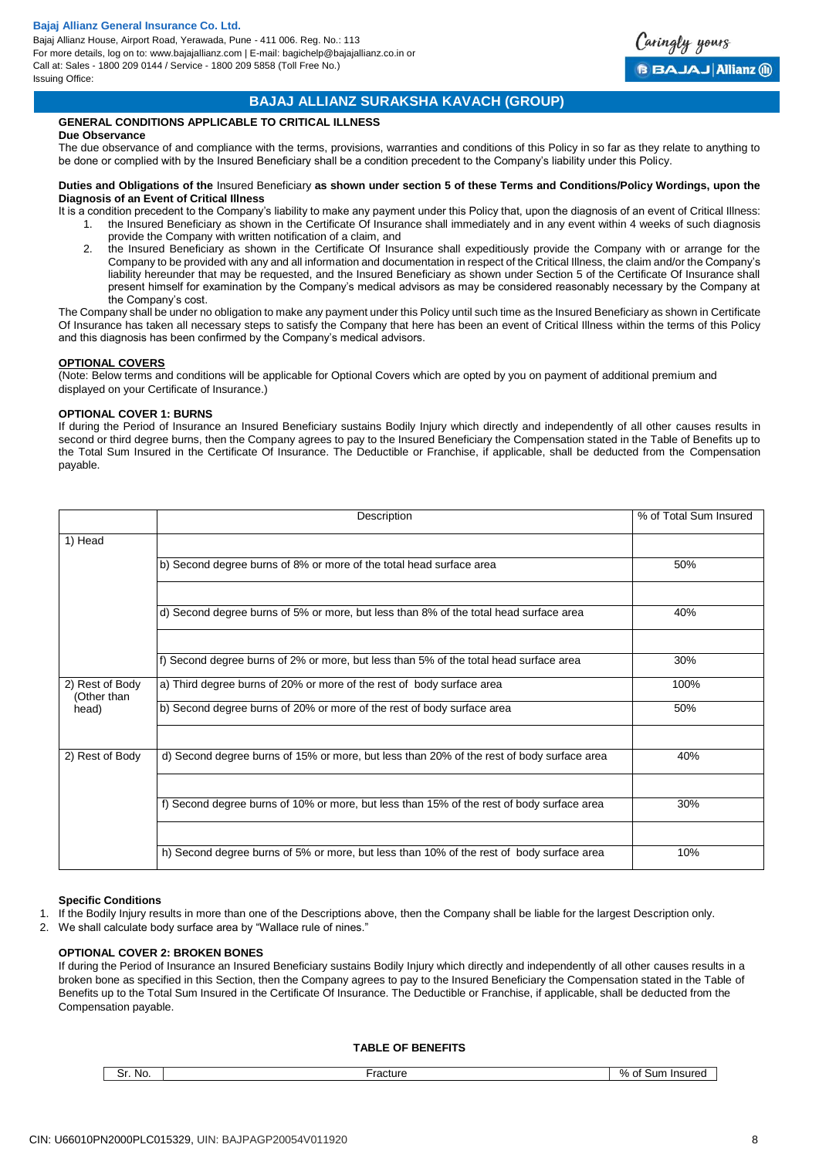

## **BAJAJ ALLIANZ SURAKSHA KAVACH (GROUP)**

## **GENERAL CONDITIONS APPLICABLE TO CRITICAL ILLNESS**

#### **Due Observance**

The due observance of and compliance with the terms, provisions, warranties and conditions of this Policy in so far as they relate to anything to be done or complied with by the Insured Beneficiary shall be a condition precedent to the Company's liability under this Policy.

#### **Duties and Obligations of the** Insured Beneficiary **as shown under section 5 of these Terms and Conditions/Policy Wordings, upon the Diagnosis of an Event of Critical Illness**

It is a condition precedent to the Company's liability to make any payment under this Policy that, upon the diagnosis of an event of Critical Illness: 1. the Insured Beneficiary as shown in the Certificate Of Insurance shall immediately and in any event within 4 weeks of such diagnosis provide the Company with written notification of a claim, and

2. the Insured Beneficiary as shown in the Certificate Of Insurance shall expeditiously provide the Company with or arrange for the Company to be provided with any and all information and documentation in respect of the Critical Illness, the claim and/or the Company's liability hereunder that may be requested, and the Insured Beneficiary as shown under Section 5 of the Certificate Of Insurance shall present himself for examination by the Company's medical advisors as may be considered reasonably necessary by the Company at the Company's cost.

The Company shall be under no obligation to make any payment under this Policy until such time as the Insured Beneficiary as shown in Certificate Of Insurance has taken all necessary steps to satisfy the Company that here has been an event of Critical Illness within the terms of this Policy and this diagnosis has been confirmed by the Company's medical advisors.

### **OPTIONAL COVERS**

(Note: Below terms and conditions will be applicable for Optional Covers which are opted by you on payment of additional premium and displayed on your Certificate of Insurance.)

## **OPTIONAL COVER 1: BURNS**

If during the Period of Insurance an Insured Beneficiary sustains Bodily Injury which directly and independently of all other causes results in second or third degree burns, then the Company agrees to pay to the Insured Beneficiary the Compensation stated in the Table of Benefits up to the Total Sum Insured in the Certificate Of Insurance. The Deductible or Franchise, if applicable, shall be deducted from the Compensation payable.

|                                | Description                                                                               | % of Total Sum Insured |
|--------------------------------|-------------------------------------------------------------------------------------------|------------------------|
| 1) Head                        |                                                                                           |                        |
|                                | b) Second degree burns of 8% or more of the total head surface area                       | 50%                    |
|                                |                                                                                           |                        |
|                                | d) Second degree burns of 5% or more, but less than 8% of the total head surface area     | 40%                    |
|                                |                                                                                           |                        |
|                                | f) Second degree burns of 2% or more, but less than 5% of the total head surface area     | 30%                    |
| 2) Rest of Body<br>(Other than | a) Third degree burns of 20% or more of the rest of body surface area                     | 100%                   |
| head)                          | b) Second degree burns of 20% or more of the rest of body surface area                    | 50%                    |
|                                |                                                                                           |                        |
| 2) Rest of Body                | d) Second degree burns of 15% or more, but less than 20% of the rest of body surface area | 40%                    |
|                                |                                                                                           |                        |
|                                | f) Second degree burns of 10% or more, but less than 15% of the rest of body surface area | 30%                    |
|                                |                                                                                           |                        |
|                                | h) Second degree burns of 5% or more, but less than 10% of the rest of body surface area  | 10%                    |

#### **Specific Conditions**

- 1. If the Bodily Injury results in more than one of the Descriptions above, then the Company shall be liable for the largest Description only.
- 2. We shall calculate body surface area by "Wallace rule of nines."

### **OPTIONAL COVER 2: BROKEN BONES**

If during the Period of Insurance an Insured Beneficiary sustains Bodily Injury which directly and independently of all other causes results in a broken bone as specified in this Section, then the Company agrees to pay to the Insured Beneficiary the Compensation stated in the Table of Benefits up to the Total Sum Insured in the Certificate Of Insurance. The Deductible or Franchise, if applicable, shall be deducted from the Compensation payable.

#### **TABLE OF BENEFITS**

Sr. No. Sand Sum Insured & Sr. No. 3. Fracture & Sr. No. 3. Fracture & Sr. No. 3. Sand Insured & Sr. No. 3. Sand Insured & Sr. No. 3. Sand Insured & Sr. No. 3. Sand Insured & Sr. No. 3. Sand Insured & Sr. No. 3. Sand Insur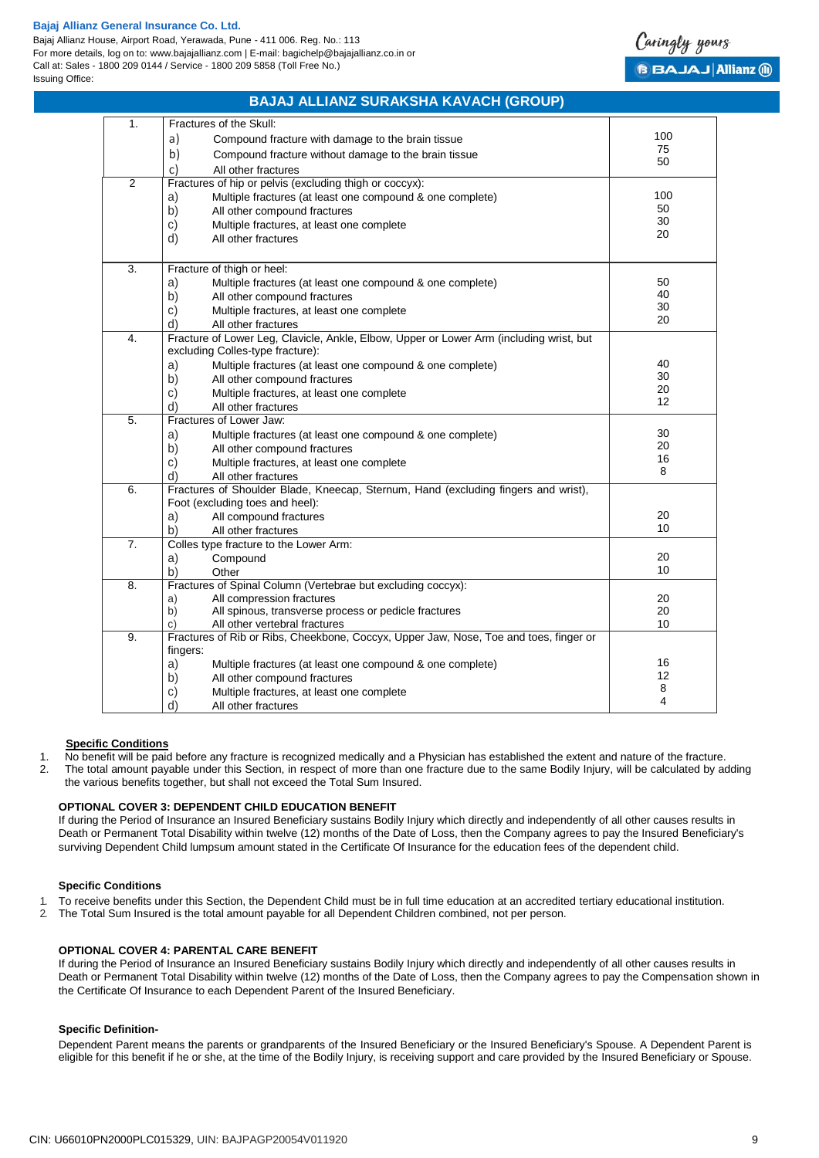Bajaj Allianz House, Airport Road, Yerawada, Pune - 411 006. Reg. No.: 113 For more details, log on to: www.bajajallianz.com | E-mail: bagichelp@bajajallianz.co.in or Call at: Sales - 1800 209 0144 / Service - 1800 209 5858 (Toll Free No.) Issuing Office:



## **BAJAJ ALLIANZ SURAKSHA KAVACH (GROUP)**

| 1.               | Fractures of the Skull:                                                                 |     |  |
|------------------|-----------------------------------------------------------------------------------------|-----|--|
|                  | a)<br>Compound fracture with damage to the brain tissue                                 | 100 |  |
|                  | b)<br>Compound fracture without damage to the brain tissue                              | 75  |  |
|                  | c)<br>All other fractures                                                               | 50  |  |
| $\overline{2}$   | Fractures of hip or pelvis (excluding thigh or coccyx):                                 |     |  |
|                  | Multiple fractures (at least one compound & one complete)<br>a)                         | 100 |  |
|                  | b)<br>All other compound fractures                                                      | 50  |  |
|                  | C)<br>Multiple fractures, at least one complete                                         | 30  |  |
|                  | d)<br>All other fractures                                                               | 20  |  |
|                  |                                                                                         |     |  |
| 3.               | Fracture of thigh or heel:                                                              |     |  |
|                  | Multiple fractures (at least one compound & one complete)<br>a)                         | 50  |  |
|                  | b)<br>All other compound fractures                                                      | 40  |  |
|                  | c)<br>Multiple fractures, at least one complete                                         | 30  |  |
|                  | d)<br>All other fractures                                                               | 20  |  |
| 4.               | Fracture of Lower Leg, Clavicle, Ankle, Elbow, Upper or Lower Arm (including wrist, but |     |  |
|                  | excluding Colles-type fracture):                                                        |     |  |
|                  | a)<br>Multiple fractures (at least one compound & one complete)                         | 40  |  |
|                  | b)<br>All other compound fractures                                                      | 30  |  |
|                  | Multiple fractures, at least one complete<br>c)                                         | 20  |  |
|                  | d)<br>All other fractures                                                               | 12  |  |
| $\overline{5}$ . | Fractures of Lower Jaw:                                                                 |     |  |
|                  | Multiple fractures (at least one compound & one complete)<br>a)                         | 30  |  |
|                  | b)<br>All other compound fractures                                                      | 20  |  |
|                  | Multiple fractures, at least one complete<br>C)                                         | 16  |  |
|                  | d)<br>All other fractures                                                               | 8   |  |
| $\overline{6}$ . | Fractures of Shoulder Blade, Kneecap, Sternum, Hand (excluding fingers and wrist),      |     |  |
|                  | Foot (excluding toes and heel):                                                         |     |  |
|                  | a)<br>All compound fractures                                                            | 20  |  |
|                  | b)<br>All other fractures                                                               | 10  |  |
| 7.               | Colles type fracture to the Lower Arm:                                                  |     |  |
|                  | a)<br>Compound                                                                          | 20  |  |
|                  | b)<br>Other                                                                             | 10  |  |
| 8.               | Fractures of Spinal Column (Vertebrae but excluding coccyx):                            |     |  |
|                  | All compression fractures<br>a)                                                         | 20  |  |
|                  | All spinous, transverse process or pedicle fractures<br>b)                              | 20  |  |
|                  | All other vertebral fractures<br>C)                                                     | 10  |  |
| $\overline{9}$ . | Fractures of Rib or Ribs, Cheekbone, Coccyx, Upper Jaw, Nose, Toe and toes, finger or   |     |  |
|                  | fingers:                                                                                | 16  |  |
|                  | a)<br>Multiple fractures (at least one compound & one complete)                         | 12  |  |
|                  | b)<br>All other compound fractures                                                      | 8   |  |
|                  | c)<br>Multiple fractures, at least one complete                                         | 4   |  |
|                  | d)<br>All other fractures                                                               |     |  |

#### **Specific Conditions**

1. No benefit will be paid before any fracture is recognized medically and a Physician has established the extent and nature of the fracture. 2. The total amount payable under this Section, in respect of more than one fracture due to the same Bodily Injury, will be calculated by adding

the various benefits together, but shall not exceed the Total Sum Insured.

### **OPTIONAL COVER 3: DEPENDENT CHILD EDUCATION BENEFIT**

If during the Period of Insurance an Insured Beneficiary sustains Bodily Injury which directly and independently of all other causes results in Death or Permanent Total Disability within twelve (12) months of the Date of Loss, then the Company agrees to pay the Insured Beneficiary's surviving Dependent Child lumpsum amount stated in the Certificate Of Insurance for the education fees of the dependent child.

#### **Specific Conditions**

- 1. To receive benefits under this Section, the Dependent Child must be in full time education at an accredited tertiary educational institution.
- 2. The Total Sum Insured is the total amount payable for all Dependent Children combined, not per person.

#### **OPTIONAL COVER 4: PARENTAL CARE BENEFIT**

If during the Period of Insurance an Insured Beneficiary sustains Bodily Injury which directly and independently of all other causes results in Death or Permanent Total Disability within twelve (12) months of the Date of Loss, then the Company agrees to pay the Compensation shown in the Certificate Of Insurance to each Dependent Parent of the Insured Beneficiary.

#### **Specific Definition-**

Dependent Parent means the parents or grandparents of the Insured Beneficiary or the Insured Beneficiary's Spouse. A Dependent Parent is eligible for this benefit if he or she, at the time of the Bodily Injury, is receiving support and care provided by the Insured Beneficiary or Spouse.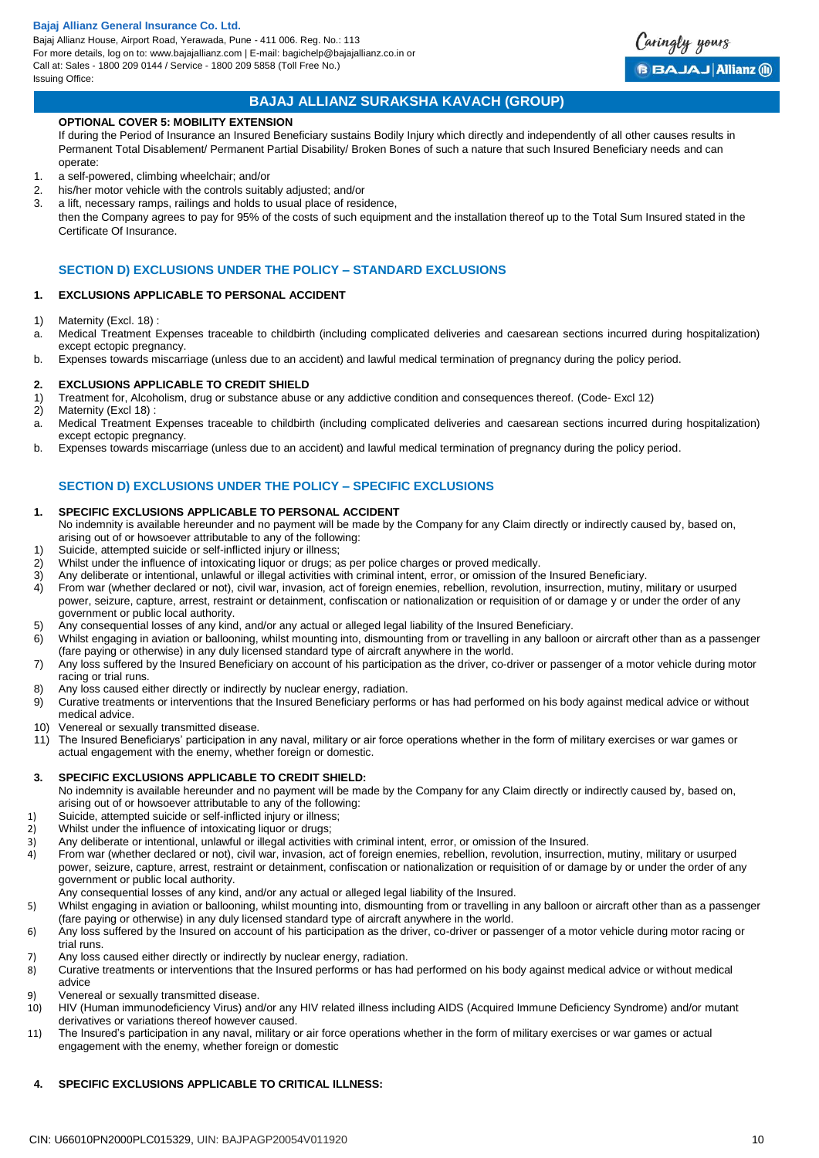Bajaj Allianz House, Airport Road, Yerawada, Pune - 411 006. Reg. No.: 113 For more details, log on to: www.bajajallianz.com | E-mail: bagichelp@bajajallianz.co.in or Call at: Sales - 1800 209 0144 / Service - 1800 209 5858 (Toll Free No.) Issuing Office:



## **BAJAJ ALLIANZ SURAKSHA KAVACH (GROUP)**

### **OPTIONAL COVER 5: MOBILITY EXTENSION**

If during the Period of Insurance an Insured Beneficiary sustains Bodily Injury which directly and independently of all other causes results in Permanent Total Disablement/ Permanent Partial Disability/ Broken Bones of such a nature that such Insured Beneficiary needs and can operate:

- 1. a self-powered, climbing wheelchair; and/or
- 2. his/her motor vehicle with the controls suitably adjusted; and/or
- 3. a lift, necessary ramps, railings and holds to usual place of residence,

then the Company agrees to pay for 95% of the costs of such equipment and the installation thereof up to the Total Sum Insured stated in the Certificate Of Insurance.

### **SECTION D) EXCLUSIONS UNDER THE POLICY – STANDARD EXCLUSIONS**

#### **1. EXCLUSIONS APPLICABLE TO PERSONAL ACCIDENT**

- 1) Maternity (Excl. 18) :
- a. Medical Treatment Expenses traceable to childbirth (including complicated deliveries and caesarean sections incurred during hospitalization) except ectopic pregnancy.
- b. Expenses towards miscarriage (unless due to an accident) and lawful medical termination of pregnancy during the policy period.

#### **2. EXCLUSIONS APPLICABLE TO CREDIT SHIELD**

- 1) Treatment for, Alcoholism, drug or substance abuse or any addictive condition and consequences thereof. (Code- Excl 12)
- 2) Maternity (Excl 18)
- a. Medical Treatment Expenses traceable to childbirth (including complicated deliveries and caesarean sections incurred during hospitalization) except ectopic pregnancy.
- b. Expenses towards miscarriage (unless due to an accident) and lawful medical termination of pregnancy during the policy period.

## **SECTION D) EXCLUSIONS UNDER THE POLICY – SPECIFIC EXCLUSIONS**

#### **1. SPECIFIC EXCLUSIONS APPLICABLE TO PERSONAL ACCIDENT**

- No indemnity is available hereunder and no payment will be made by the Company for any Claim directly or indirectly caused by, based on, arising out of or howsoever attributable to any of the following:
- 1) Suicide, attempted suicide or self-inflicted injury or illness;
- 2) Whilst under the influence of intoxicating liquor or drugs; as per police charges or proved medically.
- 3) Any deliberate or intentional, unlawful or illegal activities with criminal intent, error, or omission of the Insured Beneficiary.
- 4) From war (whether declared or not), civil war, invasion, act of foreign enemies, rebellion, revolution, insurrection, mutiny, military or usurped power, seizure, capture, arrest, restraint or detainment, confiscation or nationalization or requisition of or damage y or under the order of any government or public local authority.
- 5) Any consequential losses of any kind, and/or any actual or alleged legal liability of the Insured Beneficiary.
- 6) Whilst engaging in aviation or ballooning, whilst mounting into, dismounting from or travelling in any balloon or aircraft other than as a passenger (fare paying or otherwise) in any duly licensed standard type of aircraft anywhere in the world.
- 7) Any loss suffered by the Insured Beneficiary on account of his participation as the driver, co-driver or passenger of a motor vehicle during motor racing or trial runs.
- 8) Any loss caused either directly or indirectly by nuclear energy, radiation.
- 9) Curative treatments or interventions that the Insured Beneficiary performs or has had performed on his body against medical advice or without medical advice.
- 10) Venereal or sexually transmitted disease.
- 11) The Insured Beneficiarys' participation in any naval, military or air force operations whether in the form of military exercises or war games or actual engagement with the enemy, whether foreign or domestic.

#### **3. SPECIFIC EXCLUSIONS APPLICABLE TO CREDIT SHIELD:**

No indemnity is available hereunder and no payment will be made by the Company for any Claim directly or indirectly caused by, based on, arising out of or howsoever attributable to any of the following:

- 1) Suicide, attempted suicide or self-inflicted injury or illness;
- 2) Whilst under the influence of intoxicating liquor or drugs;<br>3) Any deliberate or intentional, unlawful or illegal activities
- 3) Any deliberate or intentional, unlawful or illegal activities with criminal intent, error, or omission of the Insured.
- 4) From war (whether declared or not), civil war, invasion, act of foreign enemies, rebellion, revolution, insurrection, mutiny, military or usurped power, seizure, capture, arrest, restraint or detainment, confiscation or nationalization or requisition of or damage by or under the order of any government or public local authority.
- Any consequential losses of any kind, and/or any actual or alleged legal liability of the Insured.
- 5) Whilst engaging in aviation or ballooning, whilst mounting into, dismounting from or travelling in any balloon or aircraft other than as a passenger (fare paying or otherwise) in any duly licensed standard type of aircraft anywhere in the world.
- 6) Any loss suffered by the Insured on account of his participation as the driver, co-driver or passenger of a motor vehicle during motor racing or trial runs.
- 7) Any loss caused either directly or indirectly by nuclear energy, radiation.
- 8) Curative treatments or interventions that the Insured performs or has had performed on his body against medical advice or without medical advice
- 9) Venereal or sexually transmitted disease.<br>10) HIV (Human immunodeficiency Virus) and
- 10) HIV (Human immunodeficiency Virus) and/or any HIV related illness including AIDS (Acquired Immune Deficiency Syndrome) and/or mutant derivatives or variations thereof however caused.
- 11) The Insured's participation in any naval, military or air force operations whether in the form of military exercises or war games or actual engagement with the enemy, whether foreign or domestic

## **4. SPECIFIC EXCLUSIONS APPLICABLE TO CRITICAL ILLNESS:**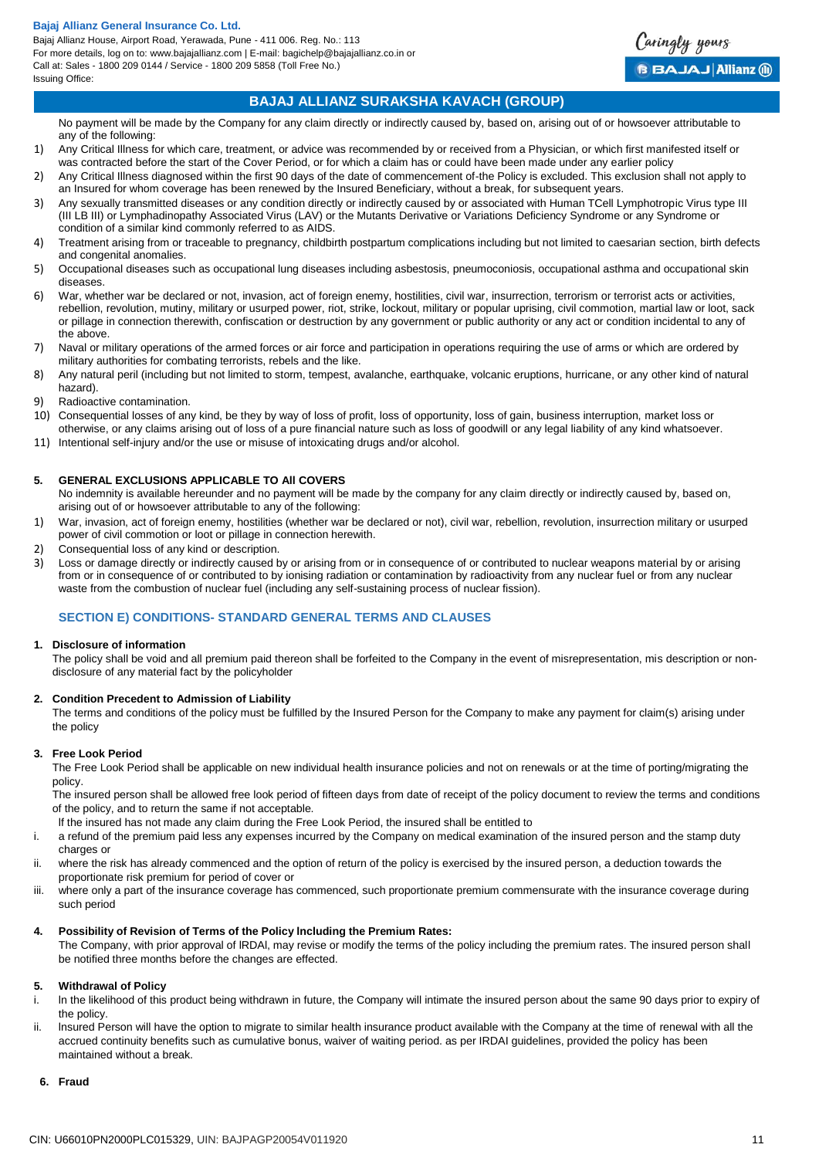Bajaj Allianz House, Airport Road, Yerawada, Pune - 411 006. Reg. No.: 113 For more details, log on to: www.bajajallianz.com | E-mail: bagichelp@bajajallianz.co.in or Call at: Sales - 1800 209 0144 / Service - 1800 209 5858 (Toll Free No.) Issuing Office:



## **BAJAJ ALLIANZ SURAKSHA KAVACH (GROUP)**

No payment will be made by the Company for any claim directly or indirectly caused by, based on, arising out of or howsoever attributable to any of the following:

- 1) Any Critical Illness for which care, treatment, or advice was recommended by or received from a Physician, or which first manifested itself or was contracted before the start of the Cover Period, or for which a claim has or could have been made under any earlier policy
- 2) Any Critical Illness diagnosed within the first 90 days of the date of commencement of-the Policy is excluded. This exclusion shall not apply to an Insured for whom coverage has been renewed by the Insured Beneficiary, without a break, for subsequent years.
- 3) Any sexually transmitted diseases or any condition directly or indirectly caused by or associated with Human TCell Lymphotropic Virus type III (III LB III) or Lymphadinopathy Associated Virus (LAV) or the Mutants Derivative or Variations Deficiency Syndrome or any Syndrome or condition of a similar kind commonly referred to as AIDS.
- 4) Treatment arising from or traceable to pregnancy, childbirth postpartum complications including but not limited to caesarian section, birth defects and congenital anomalies.
- 5) Occupational diseases such as occupational lung diseases including asbestosis, pneumoconiosis, occupational asthma and occupational skin diseases.
- 6) War, whether war be declared or not, invasion, act of foreign enemy, hostilities, civil war, insurrection, terrorism or terrorist acts or activities, rebellion, revolution, mutiny, military or usurped power, riot, strike, lockout, military or popular uprising, civil commotion, martial law or loot, sack or pillage in connection therewith, confiscation or destruction by any government or public authority or any act or condition incidental to any of the above.
- 7) Naval or military operations of the armed forces or air force and participation in operations requiring the use of arms or which are ordered by military authorities for combating terrorists, rebels and the like.
- 8) Any natural peril (including but not limited to storm, tempest, avalanche, earthquake, volcanic eruptions, hurricane, or any other kind of natural hazard).
- 9) Radioactive contamination.
- 10) Consequential losses of any kind, be they by way of loss of profit, loss of opportunity, loss of gain, business interruption, market loss or otherwise, or any claims arising out of loss of a pure financial nature such as loss of goodwill or any legal liability of any kind whatsoever.
- 11) Intentional self-injury and/or the use or misuse of intoxicating drugs and/or alcohol.

#### **5. GENERAL EXCLUSIONS APPLICABLE TO All COVERS**

No indemnity is available hereunder and no payment will be made by the company for any claim directly or indirectly caused by, based on, arising out of or howsoever attributable to any of the following:

- 1) War, invasion, act of foreign enemy, hostilities (whether war be declared or not), civil war, rebellion, revolution, insurrection military or usurped power of civil commotion or loot or pillage in connection herewith.
- 2) Consequential loss of any kind or description.
- 3) Loss or damage directly or indirectly caused by or arising from or in consequence of or contributed to nuclear weapons material by or arising from or in consequence of or contributed to by ionising radiation or contamination by radioactivity from any nuclear fuel or from any nuclear waste from the combustion of nuclear fuel (including any self-sustaining process of nuclear fission).

## **SECTION E) CONDITIONS- STANDARD GENERAL TERMS AND CLAUSES**

#### **1. Disclosure of information**

The policy shall be void and all premium paid thereon shall be forfeited to the Company in the event of misrepresentation, mis description or nondisclosure of any material fact by the policyholder

#### **2. Condition Precedent to Admission of Liability**

The terms and conditions of the policy must be fulfilled by the Insured Person for the Company to make any payment for claim(s) arising under the policy

### **3. Free Look Period**

The Free Look Period shall be applicable on new individual health insurance policies and not on renewals or at the time of porting/migrating the policy.

The insured person shall be allowed free look period of fifteen days from date of receipt of the policy document to review the terms and conditions of the policy, and to return the same if not acceptable.

- lf the insured has not made any claim during the Free Look Period, the insured shall be entitled to
- i. a refund of the premium paid less any expenses incurred by the Company on medical examination of the insured person and the stamp duty charges or
- ii. where the risk has already commenced and the option of return of the policy is exercised by the insured person, a deduction towards the proportionate risk premium for period of cover or
- iii. where only a part of the insurance coverage has commenced, such proportionate premium commensurate with the insurance coverage during such period

#### **4. Possibility of Revision of Terms of the Policy lncluding the Premium Rates:**

The Company, with prior approval of lRDAl, may revise or modify the terms of the policy including the premium rates. The insured person shall be notified three months before the changes are effected.

#### **5. Withdrawal of Policy**

- i. ln the likelihood of this product being withdrawn in future, the Company will intimate the insured person about the same 90 days prior to expiry of the policy.
- ii. lnsured Person will have the option to migrate to similar health insurance product available with the Company at the time of renewal with all the accrued continuity benefits such as cumulative bonus, waiver of waiting period. as per IRDAI guidelines, provided the policy has been maintained without a break.
- **6. Fraud**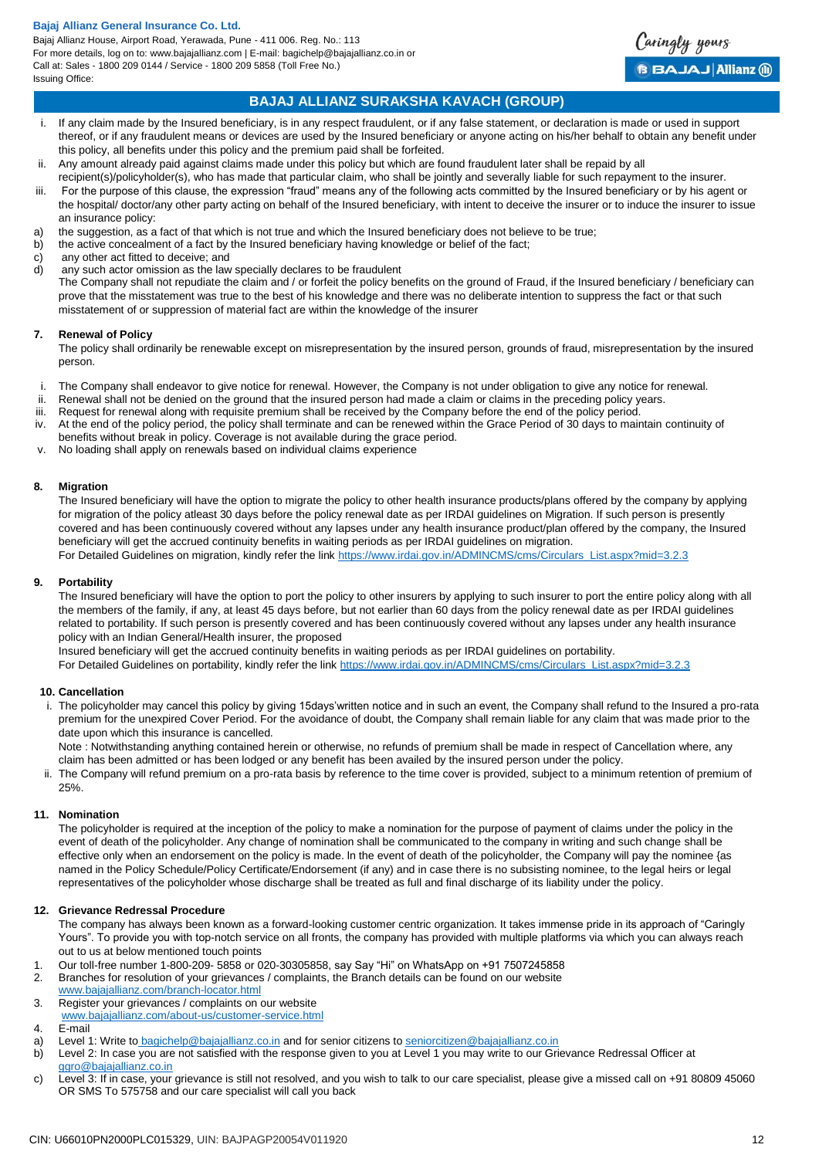Bajaj Allianz House, Airport Road, Yerawada, Pune - 411 006. Reg. No.: 113 For more details, log on to: www.bajajallianz.com | E-mail: bagichelp@bajajallianz.co.in or Call at: Sales - 1800 209 0144 / Service - 1800 209 5858 (Toll Free No.) Issuing Office:



## **BAJAJ ALLIANZ SURAKSHA KAVACH (GROUP)**

- i. If any claim made by the Insured beneficiary, is in any respect fraudulent, or if any false statement, or declaration is made or used in support thereof, or if any fraudulent means or devices are used by the Insured beneficiary or anyone acting on his/her behalf to obtain any benefit under this policy, all benefits under this policy and the premium paid shall be forfeited.
- ii. Any amount already paid against claims made under this policy but which are found fraudulent later shall be repaid by all
- recipient(s)/policyholder(s), who has made that particular claim, who shall be jointly and severally liable for such repayment to the insurer.
- iii. For the purpose of this clause, the expression "fraud" means any of the following acts committed by the Insured beneficiary or by his agent or the hospital/ doctor/any other party acting on behalf of the Insured beneficiary, with intent to deceive the insurer or to induce the insurer to issue an insurance policy:
- a) the suggestion, as a fact of that which is not true and which the Insured beneficiary does not believe to be true;
- b) the active concealment of a fact by the Insured beneficiary having knowledge or belief of the fact;
- c) any other act fitted to deceive; and
- d) any such actor omission as the law specially declares to be fraudulent
- The Company shall not repudiate the claim and / or forfeit the policy benefits on the ground of Fraud, if the Insured beneficiary / beneficiary can prove that the misstatement was true to the best of his knowledge and there was no deliberate intention to suppress the fact or that such misstatement of or suppression of material fact are within the knowledge of the insurer

#### **7. Renewal of Policy**

The policy shall ordinarily be renewable except on misrepresentation by the insured person, grounds of fraud, misrepresentation by the insured person.

- i. The Company shall endeavor to give notice for renewal. However, the Company is not under obligation to give any notice for renewal.
- ii. Renewal shall not be denied on the ground that the insured person had made a claim or claims in the preceding policy years.<br>iii. Request for renewal along with requisite premium shall be received by the Company before
- Request for renewal along with requisite premium shall be received by the Company before the end of the policy period.
- iv. At the end of the policy period, the policy shall terminate and can be renewed within the Grace Period of 30 days to maintain continuity of
- benefits without break in policy. Coverage is not available during the grace period. v. No loading shall apply on renewals based on individual claims experience

#### **8. Migration**

The Insured beneficiary will have the option to migrate the policy to other health insurance products/plans offered by the company by applying for migration of the policy atleast 30 days before the policy renewal date as per IRDAI guidelines on Migration. If such person is presently covered and has been continuously covered without any lapses under any health insurance product/plan offered by the company, the Insured beneficiary will get the accrued continuity benefits in waiting periods as per IRDAI guidelines on migration.

For Detailed Guidelines on migration, kindly refer the link [https://www.irdai.gov.in/ADMINCMS/cms/Circulars\\_List.aspx?mid=3.2.3](https://www.irdai.gov.in/ADMINCMS/cms/Circulars_List.aspx?mid=3.2.3)

#### **9. Portability**

The Insured beneficiary will have the option to port the policy to other insurers by applying to such insurer to port the entire policy along with all the members of the family, if any, at least 45 days before, but not earlier than 60 days from the policy renewal date as per IRDAI guidelines related to portability. If such person is presently covered and has been continuously covered without any lapses under any health insurance policy with an Indian General/Health insurer, the proposed

Insured beneficiary will get the accrued continuity benefits in waiting periods as per IRDAI guidelines on portability.

For Detailed Guidelines on portability, kindly refer the link [https://www.irdai.gov.in/ADMINCMS/cms/Circulars\\_List.aspx?mid=3.2.3](https://www.irdai.gov.in/ADMINCMS/cms/Circulars_List.aspx?mid=3.2.3)

#### **10. Cancellation**

i. The policyholder may cancel this policy by giving 15days'written notice and in such an event, the Company shall refund to the Insured a pro-rata premium for the unexpired Cover Period. For the avoidance of doubt, the Company shall remain liable for any claim that was made prior to the date upon which this insurance is cancelled.

Note : Notwithstanding anything contained herein or otherwise, no refunds of premium shall be made in respect of Cancellation where, any claim has been admitted or has been lodged or any benefit has been availed by the insured person under the policy.

ii. The Company will refund premium on a pro-rata basis by reference to the time cover is provided, subject to a minimum retention of premium of 25%.

#### **11. Nomination**

The policyholder is required at the inception of the policy to make a nomination for the purpose of payment of claims under the policy in the event of death of the policyholder. Any change of nomination shall be communicated to the company in writing and such change shall be effective only when an endorsement on the policy is made. ln the event of death of the policyholder, the Company will pay the nominee {as named in the Policy Schedule/Policy Certificate/Endorsement (if any) and in case there is no subsisting nominee, to the legal heirs or legal representatives of the policyholder whose discharge shall be treated as full and final discharge of its liability under the policy.

#### **12. Grievance Redressal Procedure**

The company has always been known as a forward-looking customer centric organization. It takes immense pride in its approach of "Caringly Yours". To provide you with top-notch service on all fronts, the company has provided with multiple platforms via which you can always reach out to us at below mentioned touch points

- 1. Our toll-free number 1-800-209- 5858 or 020-30305858, say Say "Hi" on WhatsApp on +91 7507245858<br>2. Branches for resolution of vour grievances / complaints, the Branch details can be found on our website
- Branches for resolution of your grievances / complaints, the Branch details can be found on our website

- 3. Register your grievances / complaints on our website
- [www.bajajallianz.com/about-us/customer-service.html](http://www.bajajallianz.com/about-us/customer-service.html)
- 4. E-mail
- a) Level 1: Write to [bagichelp@bajajallianz.co.in](mailto:bagichelp@bajajallianz.co.in) and for senior citizens to [seniorcitizen@bajajallianz.co.in](mailto:seniorcitizen@bajajallianz.co.in)
- b) Level 2: In case you are not satisfied with the response given to you at Level 1 you may write to our Grievance Redressal Officer at [ggro@bajajallianz.co.in](mailto:ggro@bajajallianz.co.in)
- c) Level 3: If in case, your grievance is still not resolved, and you wish to talk to our care specialist, please give a missed call on +91 80809 45060 OR SMS To 575758 and our care specialist will call you back

[www.bajajallianz.com/branch-locator.html](http://www.bajajallianz.com/branch-locator.html)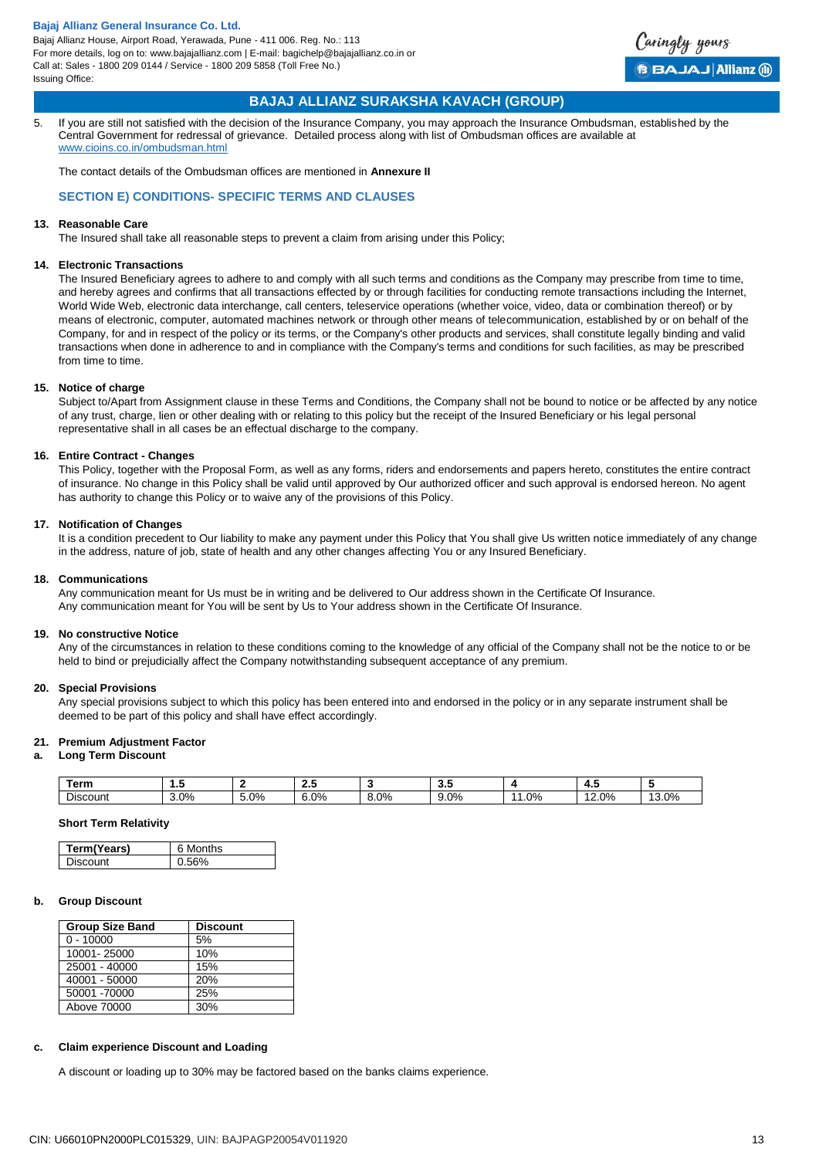

## **BAJAJ ALLIANZ SURAKSHA KAVACH (GROUP)**

5. If you are still not satisfied with the decision of the Insurance Company, you may approach the Insurance Ombudsman, established by the Central Government for redressal of grievance. Detailed process along with list of Ombudsman offices are available at [www.cioins.co.in/ombudsman.html](http://www.cioins.co.in/ombudsman.html)

The contact details of the Ombudsman offices are mentioned in **Annexure II**

## **SECTION E) CONDITIONS- SPECIFIC TERMS AND CLAUSES**

### **13. Reasonable Care**

The Insured shall take all reasonable steps to prevent a claim from arising under this Policy;

#### **14. Electronic Transactions**

The Insured Beneficiary agrees to adhere to and comply with all such terms and conditions as the Company may prescribe from time to time, and hereby agrees and confirms that all transactions effected by or through facilities for conducting remote transactions including the Internet, World Wide Web, electronic data interchange, call centers, teleservice operations (whether voice, video, data or combination thereof) or by means of electronic, computer, automated machines network or through other means of telecommunication, established by or on behalf of the Company, for and in respect of the policy or its terms, or the Company's other products and services, shall constitute legally binding and valid transactions when done in adherence to and in compliance with the Company's terms and conditions for such facilities, as may be prescribed from time to time.

### **15. Notice of charge**

Subject to/Apart from Assignment clause in these Terms and Conditions, the Company shall not be bound to notice or be affected by any notice of any trust, charge, lien or other dealing with or relating to this policy but the receipt of the Insured Beneficiary or his legal personal representative shall in all cases be an effectual discharge to the company.

### **16. Entire Contract - Changes**

This Policy, together with the Proposal Form, as well as any forms, riders and endorsements and papers hereto, constitutes the entire contract of insurance. No change in this Policy shall be valid until approved by Our authorized officer and such approval is endorsed hereon. No agent has authority to change this Policy or to waive any of the provisions of this Policy.

#### **17. Notification of Changes**

It is a condition precedent to Our liability to make any payment under this Policy that You shall give Us written notice immediately of any change in the address, nature of job, state of health and any other changes affecting You or any Insured Beneficiary.

#### **18. Communications**

Any communication meant for Us must be in writing and be delivered to Our address shown in the Certificate Of Insurance. Any communication meant for You will be sent by Us to Your address shown in the Certificate Of Insurance.

#### **19. No constructive Notice**

Any of the circumstances in relation to these conditions coming to the knowledge of any official of the Company shall not be the notice to or be held to bind or prejudicially affect the Company notwithstanding subsequent acceptance of any premium.

#### **20. Special Provisions**

Any special provisions subject to which this policy has been entered into and endorsed in the policy or in any separate instrument shall be deemed to be part of this policy and shall have effect accordingly.

#### **21. Premium Adjustment Factor**

#### **a. Long Term Discount**

| Term     | .    |      | .       |           | ີ                                                          |                      | −.                |                               |
|----------|------|------|---------|-----------|------------------------------------------------------------|----------------------|-------------------|-------------------------------|
| Discount | 3.0% | 5.0% | $6.0\%$ | 0%<br>o.v | 0%<br>$\overline{\phantom{0}}$<br>. .<br>$\cdot$ . $\cdot$ | $\Omega$<br>$\prime$ | $\Omega$<br>2.070 | $\Omega$<br>$\sim$<br>.J.U /0 |

## **Short Term Relativity**

| Term(Years) | 6 Months |
|-------------|----------|
| ⊶ liscount  |          |

## **b. Group Discount**

| <b>Group Size Band</b> | <b>Discount</b> |
|------------------------|-----------------|
| $0 - 10000$            | 5%              |
| 10001-25000            | 10%             |
| 25001 - 40000          | 15%             |
| 40001 - 50000          | 20%             |
| 50001 -70000           | 25%             |
| Above 70000            | 30%             |
|                        |                 |

#### **c. Claim experience Discount and Loading**

A discount or loading up to 30% may be factored based on the banks claims experience.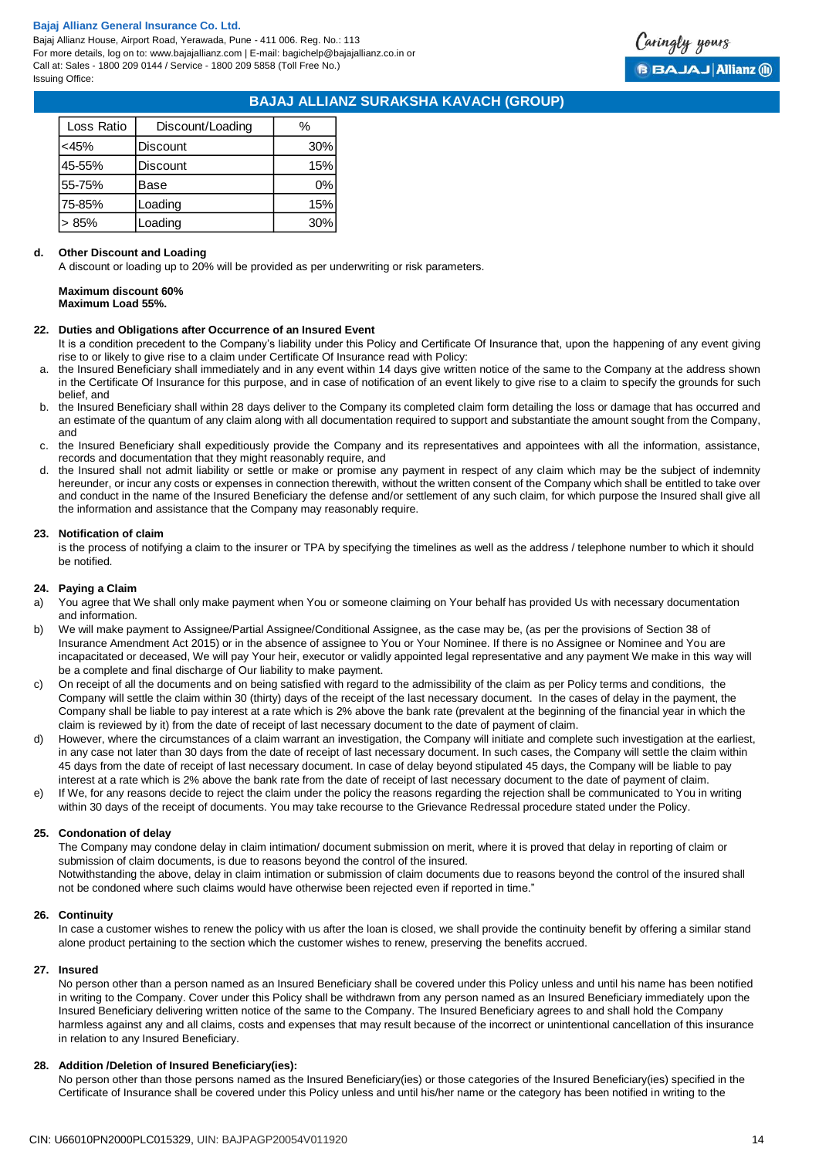Bajaj Allianz House, Airport Road, Yerawada, Pune - 411 006. Reg. No.: 113 For more details, log on to: www.bajajallianz.com | E-mail: bagichelp@bajajallianz.co.in or Call at: Sales - 1800 209 0144 / Service - 1800 209 5858 (Toll Free No.) Issuing Office:



## **BAJAJ ALLIANZ SURAKSHA KAVACH (GROUP)**

| Loss Ratio | Discount/Loading | %     |
|------------|------------------|-------|
| <45%       | <b>Discount</b>  | 30%   |
| 45-55%     | <b>Discount</b>  | 15%   |
| 55-75%     | Base             | $0\%$ |
| 75-85%     | Loading          | 15%   |
| 85%        | oading           | 30%   |

#### **d. Other Discount and Loading**

A discount or loading up to 20% will be provided as per underwriting or risk parameters.

# **Maximum discount 60%**

**Maximum Load 55%.**

#### **22. Duties and Obligations after Occurrence of an Insured Event**

- It is a condition precedent to the Company's liability under this Policy and Certificate Of Insurance that, upon the happening of any event giving rise to or likely to give rise to a claim under Certificate Of Insurance read with Policy:
- a. the Insured Beneficiary shall immediately and in any event within 14 days give written notice of the same to the Company at the address shown in the Certificate Of Insurance for this purpose, and in case of notification of an event likely to give rise to a claim to specify the grounds for such belief, and
- b. the Insured Beneficiary shall within 28 days deliver to the Company its completed claim form detailing the loss or damage that has occurred and an estimate of the quantum of any claim along with all documentation required to support and substantiate the amount sought from the Company, and
- c. the Insured Beneficiary shall expeditiously provide the Company and its representatives and appointees with all the information, assistance, records and documentation that they might reasonably require, and
- the Insured shall not admit liability or settle or make or promise any payment in respect of any claim which may be the subject of indemnity hereunder, or incur any costs or expenses in connection therewith, without the written consent of the Company which shall be entitled to take over and conduct in the name of the Insured Beneficiary the defense and/or settlement of any such claim, for which purpose the Insured shall give all the information and assistance that the Company may reasonably require.

#### **23. Notification of claim**

is the process of notifying a claim to the insurer or TPA by specifying the timelines as well as the address / telephone number to which it should be notified.

#### **24. Paying a Claim**

- a) You agree that We shall only make payment when You or someone claiming on Your behalf has provided Us with necessary documentation and information.
- b) We will make payment to Assignee/Partial Assignee/Conditional Assignee, as the case may be, (as per the provisions of Section 38 of Insurance Amendment Act 2015) or in the absence of assignee to You or Your Nominee. If there is no Assignee or Nominee and You are incapacitated or deceased, We will pay Your heir, executor or validly appointed legal representative and any payment We make in this way will be a complete and final discharge of Our liability to make payment.
- c) On receipt of all the documents and on being satisfied with regard to the admissibility of the claim as per Policy terms and conditions, the Company will settle the claim within 30 (thirty) days of the receipt of the last necessary document. In the cases of delay in the payment, the Company shall be liable to pay interest at a rate which is 2% above the bank rate (prevalent at the beginning of the financial year in which the claim is reviewed by it) from the date of receipt of last necessary document to the date of payment of claim.
- d) However, where the circumstances of a claim warrant an investigation, the Company will initiate and complete such investigation at the earliest, in any case not later than 30 days from the date of receipt of last necessary document. In such cases, the Company will settle the claim within 45 days from the date of receipt of last necessary document. In case of delay beyond stipulated 45 days, the Company will be liable to pay interest at a rate which is 2% above the bank rate from the date of receipt of last necessary document to the date of payment of claim.
- e) If We, for any reasons decide to reject the claim under the policy the reasons regarding the rejection shall be communicated to You in writing within 30 days of the receipt of documents. You may take recourse to the Grievance Redressal procedure stated under the Policy.

#### **25. Condonation of delay**

The Company may condone delay in claim intimation/ document submission on merit, where it is proved that delay in reporting of claim or submission of claim documents, is due to reasons beyond the control of the insured. Notwithstanding the above, delay in claim intimation or submission of claim documents due to reasons beyond the control of the insured shall not be condoned where such claims would have otherwise been rejected even if reported in time."

#### **26. Continuity**

In case a customer wishes to renew the policy with us after the loan is closed, we shall provide the continuity benefit by offering a similar stand alone product pertaining to the section which the customer wishes to renew, preserving the benefits accrued.

### **27. Insured**

No person other than a person named as an Insured Beneficiary shall be covered under this Policy unless and until his name has been notified in writing to the Company. Cover under this Policy shall be withdrawn from any person named as an Insured Beneficiary immediately upon the Insured Beneficiary delivering written notice of the same to the Company. The Insured Beneficiary agrees to and shall hold the Company harmless against any and all claims, costs and expenses that may result because of the incorrect or unintentional cancellation of this insurance in relation to any Insured Beneficiary.

#### **28. Addition /Deletion of Insured Beneficiary(ies):**

No person other than those persons named as the Insured Beneficiary(ies) or those categories of the Insured Beneficiary(ies) specified in the Certificate of Insurance shall be covered under this Policy unless and until his/her name or the category has been notified in writing to the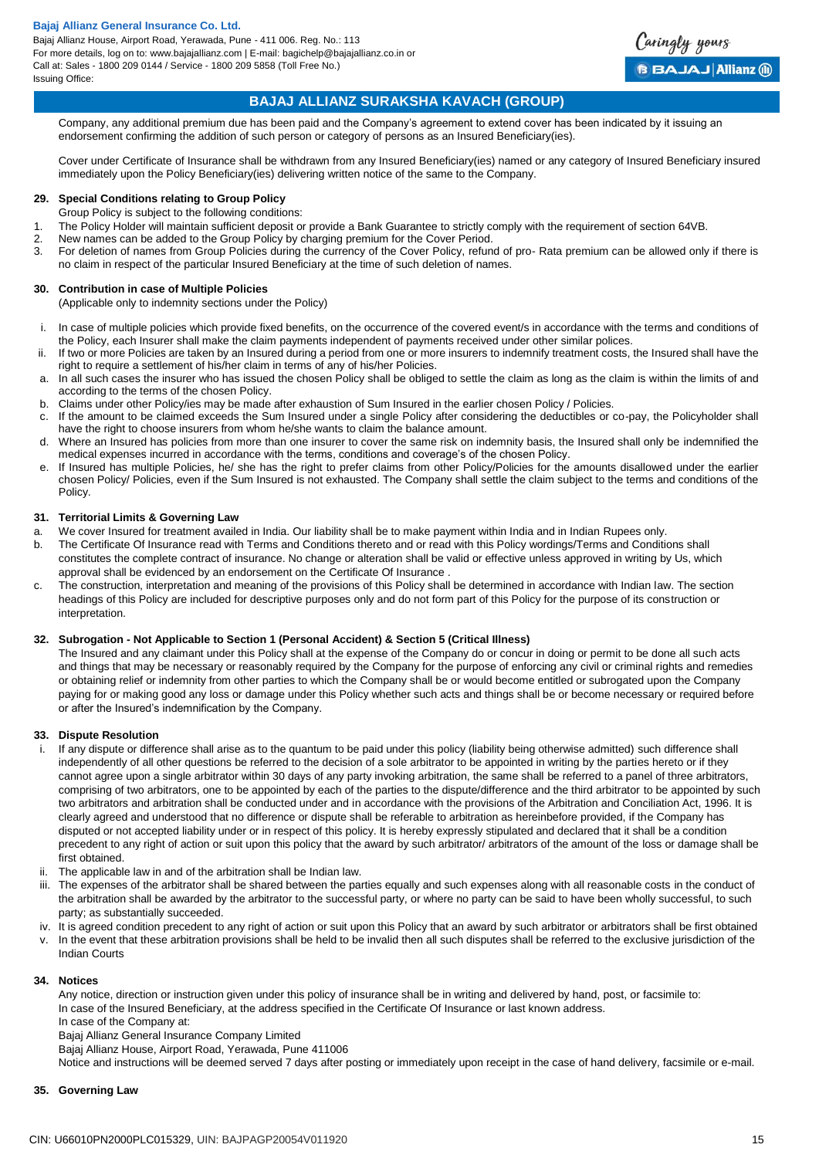Bajaj Allianz House, Airport Road, Yerawada, Pune - 411 006. Reg. No.: 113 For more details, log on to: www.bajajallianz.com | E-mail: bagichelp@bajajallianz.co.in or Call at: Sales - 1800 209 0144 / Service - 1800 209 5858 (Toll Free No.) Issuing Office:



## **BAJAJ ALLIANZ SURAKSHA KAVACH (GROUP)**

Company, any additional premium due has been paid and the Company's agreement to extend cover has been indicated by it issuing an endorsement confirming the addition of such person or category of persons as an Insured Beneficiary(ies).

Cover under Certificate of Insurance shall be withdrawn from any Insured Beneficiary(ies) named or any category of Insured Beneficiary insured immediately upon the Policy Beneficiary(ies) delivering written notice of the same to the Company.

### **29. Special Conditions relating to Group Policy**

- Group Policy is subject to the following conditions:
- 1. The Policy Holder will maintain sufficient deposit or provide a Bank Guarantee to strictly comply with the requirement of section 64VB.
- 2. New names can be added to the Group Policy by charging premium for the Cover Period.
- 3. For deletion of names from Group Policies during the currency of the Cover Policy, refund of pro- Rata premium can be allowed only if there is no claim in respect of the particular Insured Beneficiary at the time of such deletion of names.

#### **30. Contribution in case of Multiple Policies**

(Applicable only to indemnity sections under the Policy)

- i. In case of multiple policies which provide fixed benefits, on the occurrence of the covered event/s in accordance with the terms and conditions of the Policy, each Insurer shall make the claim payments independent of payments received under other similar polices.
- ii. If two or more Policies are taken by an Insured during a period from one or more insurers to indemnify treatment costs, the Insured shall have the right to require a settlement of his/her claim in terms of any of his/her Policies.
- a. In all such cases the insurer who has issued the chosen Policy shall be obliged to settle the claim as long as the claim is within the limits of and according to the terms of the chosen Policy.
- b. Claims under other Policy/ies may be made after exhaustion of Sum Insured in the earlier chosen Policy / Policies.
- c. If the amount to be claimed exceeds the Sum Insured under a single Policy after considering the deductibles or co-pay, the Policyholder shall have the right to choose insurers from whom he/she wants to claim the balance amount.
- d. Where an Insured has policies from more than one insurer to cover the same risk on indemnity basis, the Insured shall only be indemnified the medical expenses incurred in accordance with the terms, conditions and coverage's of the chosen Policy.
- e. If Insured has multiple Policies, he/ she has the right to prefer claims from other Policy/Policies for the amounts disallowed under the earlier chosen Policy/ Policies, even if the Sum Insured is not exhausted. The Company shall settle the claim subject to the terms and conditions of the Policy.

#### **31. Territorial Limits & Governing Law**

- a. We cover Insured for treatment availed in India. Our liability shall be to make payment within India and in Indian Rupees only.
- b. The Certificate Of Insurance read with Terms and Conditions thereto and or read with this Policy wordings/Terms and Conditions shall constitutes the complete contract of insurance. No change or alteration shall be valid or effective unless approved in writing by Us, which approval shall be evidenced by an endorsement on the Certificate Of Insurance .
- c. The construction, interpretation and meaning of the provisions of this Policy shall be determined in accordance with Indian law. The section headings of this Policy are included for descriptive purposes only and do not form part of this Policy for the purpose of its construction or interpretation.

#### **32. Subrogation - Not Applicable to Section 1 (Personal Accident) & Section 5 (Critical Illness)**

The Insured and any claimant under this Policy shall at the expense of the Company do or concur in doing or permit to be done all such acts and things that may be necessary or reasonably required by the Company for the purpose of enforcing any civil or criminal rights and remedies or obtaining relief or indemnity from other parties to which the Company shall be or would become entitled or subrogated upon the Company paying for or making good any loss or damage under this Policy whether such acts and things shall be or become necessary or required before or after the Insured's indemnification by the Company.

#### **33. Dispute Resolution**

- i. If any dispute or difference shall arise as to the quantum to be paid under this policy (liability being otherwise admitted) such difference shall independently of all other questions be referred to the decision of a sole arbitrator to be appointed in writing by the parties hereto or if they cannot agree upon a single arbitrator within 30 days of any party invoking arbitration, the same shall be referred to a panel of three arbitrators, comprising of two arbitrators, one to be appointed by each of the parties to the dispute/difference and the third arbitrator to be appointed by such two arbitrators and arbitration shall be conducted under and in accordance with the provisions of the Arbitration and Conciliation Act, 1996. It is clearly agreed and understood that no difference or dispute shall be referable to arbitration as hereinbefore provided, if the Company has disputed or not accepted liability under or in respect of this policy. It is hereby expressly stipulated and declared that it shall be a condition precedent to any right of action or suit upon this policy that the award by such arbitrator/ arbitrators of the amount of the loss or damage shall be first obtained.
- The applicable law in and of the arbitration shall be Indian law.
- iii. The expenses of the arbitrator shall be shared between the parties equally and such expenses along with all reasonable costs in the conduct of the arbitration shall be awarded by the arbitrator to the successful party, or where no party can be said to have been wholly successful, to such party; as substantially succeeded.
- iv. It is agreed condition precedent to any right of action or suit upon this Policy that an award by such arbitrator or arbitrators shall be first obtained
- v. In the event that these arbitration provisions shall be held to be invalid then all such disputes shall be referred to the exclusive jurisdiction of the Indian Courts

#### **34. Notices**

Any notice, direction or instruction given under this policy of insurance shall be in writing and delivered by hand, post, or facsimile to: In case of the Insured Beneficiary, at the address specified in the Certificate Of Insurance or last known address.

In case of the Company at:

Bajaj Allianz General Insurance Company Limited

Bajaj Allianz House, Airport Road, Yerawada, Pune 411006

Notice and instructions will be deemed served 7 days after posting or immediately upon receipt in the case of hand delivery, facsimile or e-mail.

## **35. Governing Law**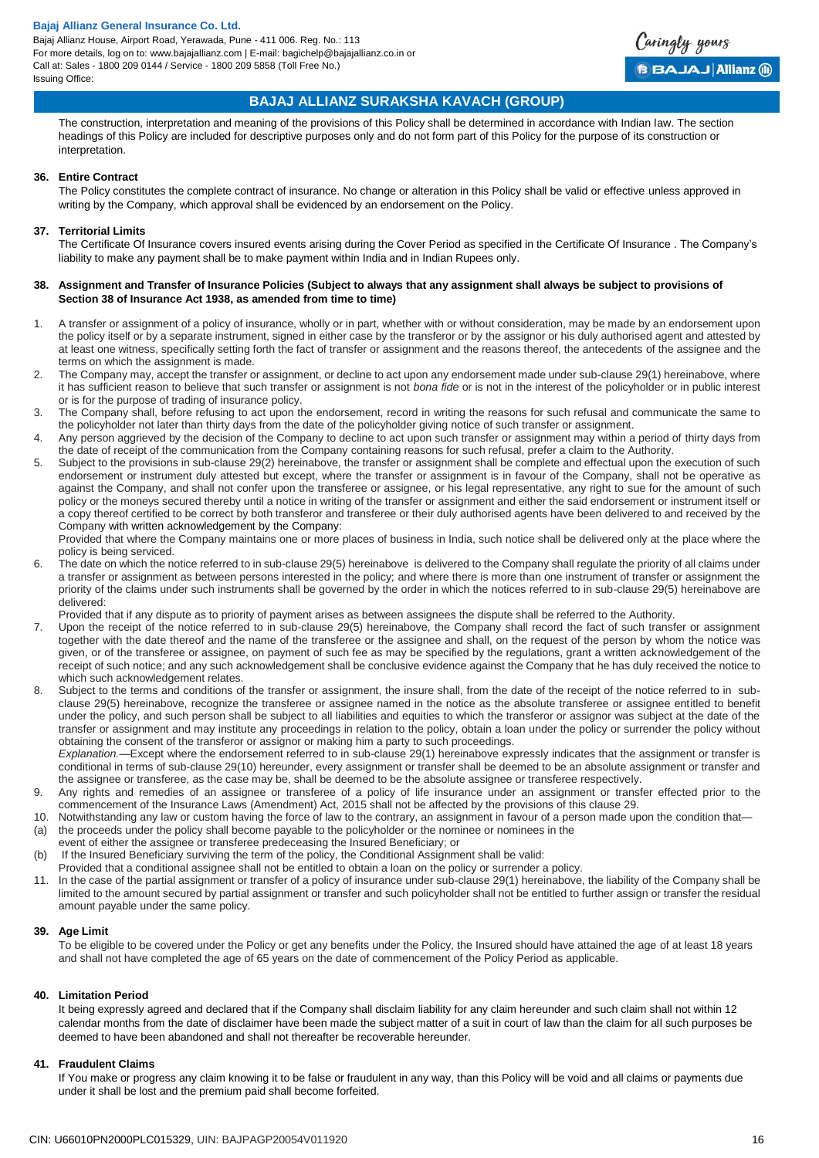

## **BAJAJ ALLIANZ SURAKSHA KAVACH (GROUP)**

The construction, interpretation and meaning of the provisions of this Policy shall be determined in accordance with Indian law. The section headings of this Policy are included for descriptive purposes only and do not form part of this Policy for the purpose of its construction or interpretation.

#### **36. Entire Contract**

The Policy constitutes the complete contract of insurance. No change or alteration in this Policy shall be valid or effective unless approved in writing by the Company, which approval shall be evidenced by an endorsement on the Policy.

### **37. Territorial Limits**

The Certificate Of Insurance covers insured events arising during the Cover Period as specified in the Certificate Of Insurance . The Company's liability to make any payment shall be to make payment within India and in Indian Rupees only.

#### **38. Assignment and Transfer of Insurance Policies (Subject to always that any assignment shall always be subject to provisions of Section 38 of Insurance Act 1938, as amended from time to time)**

- 1. A transfer or assignment of a policy of insurance, wholly or in part, whether with or without consideration, may be made by an endorsement upon the policy itself or by a separate instrument, signed in either case by the transferor or by the assignor or his duly authorised agent and attested by at least one witness, specifically setting forth the fact of transfer or assignment and the reasons thereof, the antecedents of the assignee and the terms on which the assignment is made.
- 2. The Company may, accept the transfer or assignment, or decline to act upon any endorsement made under sub-clause 29(1) hereinabove, where it has sufficient reason to believe that such transfer or assignment is not *bona fide* or is not in the interest of the policyholder or in public interest or is for the purpose of trading of insurance policy.
- 3. The Company shall, before refusing to act upon the endorsement, record in writing the reasons for such refusal and communicate the same to the policyholder not later than thirty days from the date of the policyholder giving notice of such transfer or assignment.
- 4. Any person aggrieved by the decision of the Company to decline to act upon such transfer or assignment may within a period of thirty days from the date of receipt of the communication from the Company containing reasons for such refusal, prefer a claim to the Authority.
- 5. Subject to the provisions in sub-clause 29(2) hereinabove, the transfer or assignment shall be complete and effectual upon the execution of such endorsement or instrument duly attested but except, where the transfer or assignment is in favour of the Company, shall not be operative as against the Company, and shall not confer upon the transferee or assignee, or his legal representative, any right to sue for the amount of such policy or the moneys secured thereby until a notice in writing of the transfer or assignment and either the said endorsement or instrument itself or a copy thereof certified to be correct by both transferor and transferee or their duly authorised agents have been delivered to and received by the Company with written acknowledgement by the Company:

Provided that where the Company maintains one or more places of business in India, such notice shall be delivered only at the place where the policy is being serviced.

6. The date on which the notice referred to in sub-clause 29(5) hereinabove is delivered to the Company shall regulate the priority of all claims under a transfer or assignment as between persons interested in the policy; and where there is more than one instrument of transfer or assignment the priority of the claims under such instruments shall be governed by the order in which the notices referred to in sub-clause 29(5) hereinabove are delivered:

Provided that if any dispute as to priority of payment arises as between assignees the dispute shall be referred to the Authority.

- 7. Upon the receipt of the notice referred to in sub-clause 29(5) hereinabove, the Company shall record the fact of such transfer or assignment together with the date thereof and the name of the transferee or the assignee and shall, on the request of the person by whom the notice was given, or of the transferee or assignee, on payment of such fee as may be specified by the regulations, grant a written acknowledgement of the receipt of such notice; and any such acknowledgement shall be conclusive evidence against the Company that he has duly received the notice to which such acknowledgement relates.
- Subject to the terms and conditions of the transfer or assignment, the insure shall, from the date of the receipt of the notice referred to in subclause 29(5) hereinabove, recognize the transferee or assignee named in the notice as the absolute transferee or assignee entitled to benefit under the policy, and such person shall be subject to all liabilities and equities to which the transferor or assignor was subject at the date of the transfer or assignment and may institute any proceedings in relation to the policy, obtain a loan under the policy or surrender the policy without obtaining the consent of the transferor or assignor or making him a party to such proceedings.

*Explanation.*—Except where the endorsement referred to in sub-clause 29(1) hereinabove expressly indicates that the assignment or transfer is conditional in terms of sub-clause 29(10) hereunder, every assignment or transfer shall be deemed to be an absolute assignment or transfer and the assignee or transferee, as the case may be, shall be deemed to be the absolute assignee or transferee respectively.

- 9. Any rights and remedies of an assignee or transferee of a policy of life insurance under an assignment or transfer effected prior to the commencement of the Insurance Laws (Amendment) Act, 2015 shall not be affected by the provisions of this clause 29.
- 10. Notwithstanding any law or custom having the force of law to the contrary, an assignment in favour of a person made upon the condition that— (a) the proceeds under the policy shall become payable to the policyholder or the nominee or nominees in the
- event of either the assignee or transferee predeceasing the Insured Beneficiary; or
- (b) If the Insured Beneficiary surviving the term of the policy, the Conditional Assignment shall be valid:
- Provided that a conditional assignee shall not be entitled to obtain a loan on the policy or surrender a policy.
- 11. In the case of the partial assignment or transfer of a policy of insurance under sub-clause 29(1) hereinabove, the liability of the Company shall be limited to the amount secured by partial assignment or transfer and such policyholder shall not be entitled to further assign or transfer the residual amount payable under the same policy.

#### **39. Age Limit**

To be eligible to be covered under the Policy or get any benefits under the Policy, the Insured should have attained the age of at least 18 years and shall not have completed the age of 65 years on the date of commencement of the Policy Period as applicable.

#### **40. Limitation Period**

It being expressly agreed and declared that if the Company shall disclaim liability for any claim hereunder and such claim shall not within 12 calendar months from the date of disclaimer have been made the subject matter of a suit in court of law than the claim for all such purposes be deemed to have been abandoned and shall not thereafter be recoverable hereunder.

#### **41. Fraudulent Claims**

If You make or progress any claim knowing it to be false or fraudulent in any way, than this Policy will be void and all claims or payments due under it shall be lost and the premium paid shall become forfeited.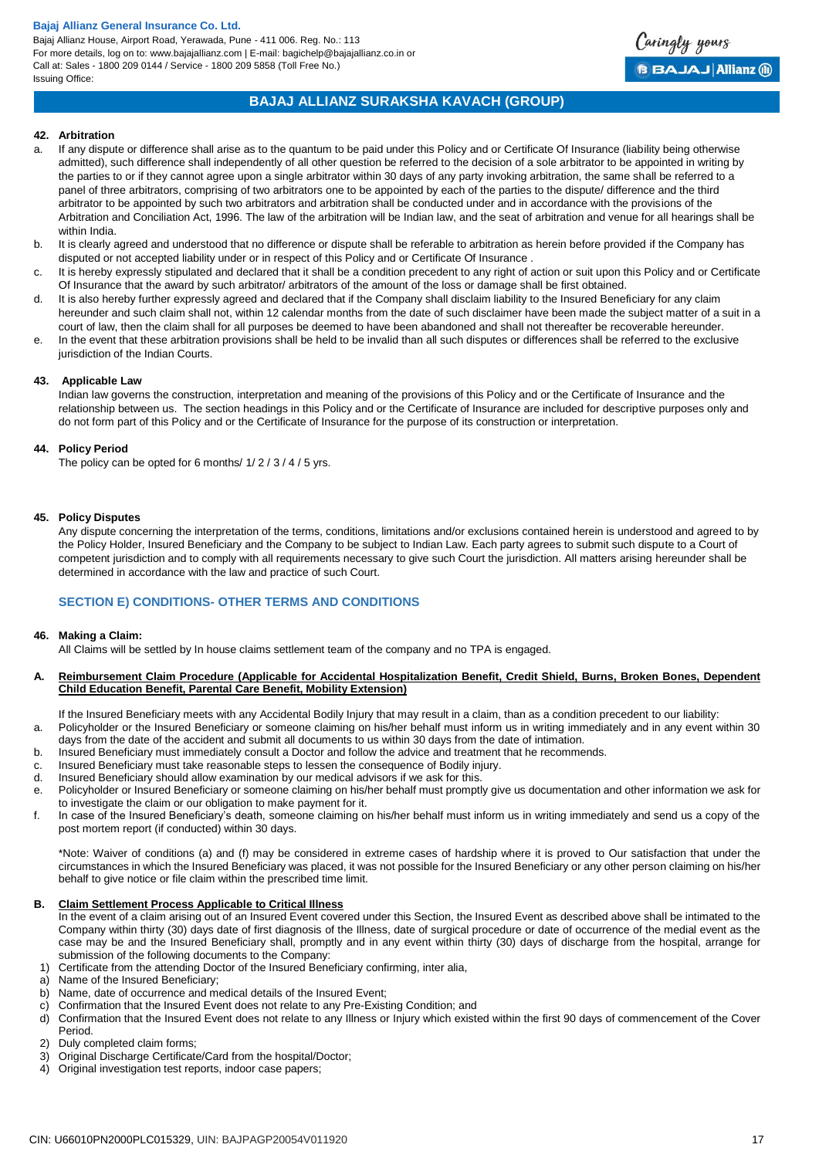Bajaj Allianz House, Airport Road, Yerawada, Pune - 411 006. Reg. No.: 113 For more details, log on to: www.bajajallianz.com | E-mail: bagichelp@bajajallianz.co.in or Call at: Sales - 1800 209 0144 / Service - 1800 209 5858 (Toll Free No.) Issuing Office:



## **BAJAJ ALLIANZ SURAKSHA KAVACH (GROUP)**

#### **42. Arbitration**

- a. If any dispute or difference shall arise as to the quantum to be paid under this Policy and or Certificate Of Insurance (liability being otherwise admitted), such difference shall independently of all other question be referred to the decision of a sole arbitrator to be appointed in writing by the parties to or if they cannot agree upon a single arbitrator within 30 days of any party invoking arbitration, the same shall be referred to a panel of three arbitrators, comprising of two arbitrators one to be appointed by each of the parties to the dispute/ difference and the third arbitrator to be appointed by such two arbitrators and arbitration shall be conducted under and in accordance with the provisions of the Arbitration and Conciliation Act, 1996. The law of the arbitration will be Indian law, and the seat of arbitration and venue for all hearings shall be within India.
- b. It is clearly agreed and understood that no difference or dispute shall be referable to arbitration as herein before provided if the Company has disputed or not accepted liability under or in respect of this Policy and or Certificate Of Insurance .
- c. It is hereby expressly stipulated and declared that it shall be a condition precedent to any right of action or suit upon this Policy and or Certificate Of Insurance that the award by such arbitrator/ arbitrators of the amount of the loss or damage shall be first obtained.
- d. It is also hereby further expressly agreed and declared that if the Company shall disclaim liability to the Insured Beneficiary for any claim hereunder and such claim shall not, within 12 calendar months from the date of such disclaimer have been made the subject matter of a suit in a court of law, then the claim shall for all purposes be deemed to have been abandoned and shall not thereafter be recoverable hereunder.
- e. In the event that these arbitration provisions shall be held to be invalid than all such disputes or differences shall be referred to the exclusive jurisdiction of the Indian Courts.

#### **43. Applicable Law**

Indian law governs the construction, interpretation and meaning of the provisions of this Policy and or the Certificate of Insurance and the relationship between us. The section headings in this Policy and or the Certificate of Insurance are included for descriptive purposes only and do not form part of this Policy and or the Certificate of Insurance for the purpose of its construction or interpretation.

## **44. Policy Period**

The policy can be opted for 6 months/  $1/2/3/4/5$  yrs.

#### **45. Policy Disputes**

Any dispute concerning the interpretation of the terms, conditions, limitations and/or exclusions contained herein is understood and agreed to by the Policy Holder, Insured Beneficiary and the Company to be subject to Indian Law. Each party agrees to submit such dispute to a Court of competent jurisdiction and to comply with all requirements necessary to give such Court the jurisdiction. All matters arising hereunder shall be determined in accordance with the law and practice of such Court.

#### **SECTION E) CONDITIONS- OTHER TERMS AND CONDITIONS**

#### **46. Making a Claim:**

All Claims will be settled by In house claims settlement team of the company and no TPA is engaged.

- **A. Reimbursement Claim Procedure (Applicable for Accidental Hospitalization Benefit, Credit Shield, Burns, Broken Bones, Dependent Child Education Benefit, Parental Care Benefit, Mobility Extension)**
	- If the Insured Beneficiary meets with any Accidental Bodily Injury that may result in a claim, than as a condition precedent to our liability:
- a. Policyholder or the Insured Beneficiary or someone claiming on his/her behalf must inform us in writing immediately and in any event within 30 days from the date of the accident and submit all documents to us within 30 days from the date of intimation.
- b. Insured Beneficiary must immediately consult a Doctor and follow the advice and treatment that he recommends.
- c. Insured Beneficiary must take reasonable steps to lessen the consequence of Bodily injury.
- d. Insured Beneficiary should allow examination by our medical advisors if we ask for this.
- e. Policyholder or Insured Beneficiary or someone claiming on his/her behalf must promptly give us documentation and other information we ask for to investigate the claim or our obligation to make payment for it.
- f. In case of the Insured Beneficiary's death, someone claiming on his/her behalf must inform us in writing immediately and send us a copy of the post mortem report (if conducted) within 30 days.

\*Note: Waiver of conditions (a) and (f) may be considered in extreme cases of hardship where it is proved to Our satisfaction that under the circumstances in which the Insured Beneficiary was placed, it was not possible for the Insured Beneficiary or any other person claiming on his/her behalf to give notice or file claim within the prescribed time limit.

#### **B. Claim Settlement Process Applicable to Critical Illness**

- In the event of a claim arising out of an Insured Event covered under this Section, the Insured Event as described above shall be intimated to the Company within thirty (30) days date of first diagnosis of the Illness, date of surgical procedure or date of occurrence of the medial event as the case may be and the Insured Beneficiary shall, promptly and in any event within thirty (30) days of discharge from the hospital, arrange for submission of the following documents to the Company:
- 1) Certificate from the attending Doctor of the Insured Beneficiary confirming, inter alia,
- a) Name of the Insured Beneficiary;
- b) Name, date of occurrence and medical details of the Insured Event;
- c) Confirmation that the Insured Event does not relate to any Pre-Existing Condition; and
- d) Confirmation that the Insured Event does not relate to any Illness or Injury which existed within the first 90 days of commencement of the Cover Period.
- 2) Duly completed claim forms;
- 3) Original Discharge Certificate/Card from the hospital/Doctor;
- 4) Original investigation test reports, indoor case papers;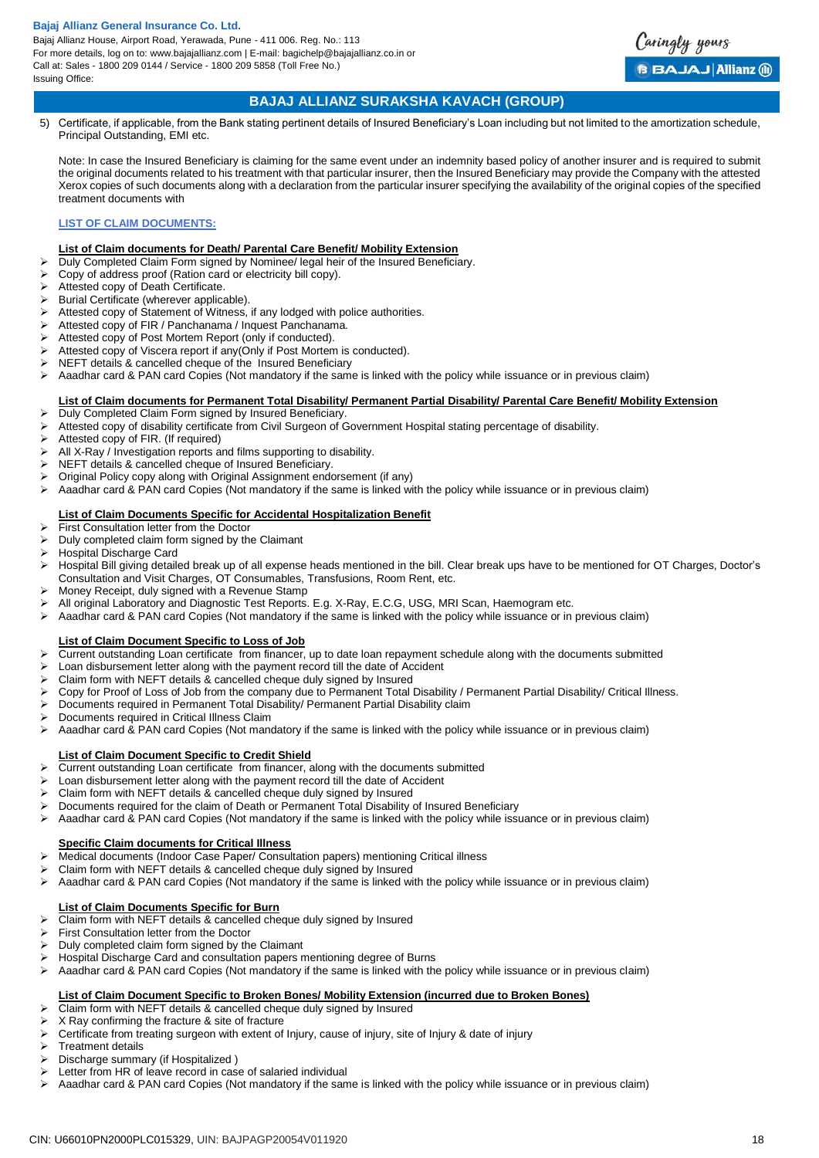

## **BAJAJ ALLIANZ SURAKSHA KAVACH (GROUP)**

5) Certificate, if applicable, from the Bank stating pertinent details of Insured Beneficiary's Loan including but not limited to the amortization schedule, Principal Outstanding, EMI etc.

Note: In case the Insured Beneficiary is claiming for the same event under an indemnity based policy of another insurer and is required to submit the original documents related to his treatment with that particular insurer, then the Insured Beneficiary may provide the Company with the attested Xerox copies of such documents along with a declaration from the particular insurer specifying the availability of the original copies of the specified treatment documents with

### **LIST OF CLAIM DOCUMENTS:**

#### **List of Claim documents for Death/ Parental Care Benefit/ Mobility Extension**

- > Duly Completed Claim Form signed by Nominee/ legal heir of the Insured Beneficiary.
- Copy of address proof (Ration card or electricity bill copy).
- Attested copy of Death Certificate.
- $\triangleright$  Burial Certificate (wherever applicable).
- Attested copy of Statement of Witness, if any lodged with police authorities.
- Attested copy of FIR / Panchanama / Inquest Panchanama.
- Attested copy of Post Mortem Report (only if conducted).
- Attested copy of Viscera report if any(Only if Post Mortem is conducted).
- NEFT details & cancelled cheque of the Insured Beneficiary
- Aaadhar card & PAN card Copies (Not mandatory if the same is linked with the policy while issuance or in previous claim)

### **List of Claim documents for Permanent Total Disability/ Permanent Partial Disability/ Parental Care Benefit/ Mobility Extension**

- $\triangleright$  Duly Completed Claim Form signed by Insured Beneficiary
- Attested copy of disability certificate from Civil Surgeon of Government Hospital stating percentage of disability.
- > Attested copy of FIR. (If required)
- All X-Ray / Investigation reports and films supporting to disability.
- NEFT details & cancelled cheque of Insured Beneficiary.
- Original Policy copy along with Original Assignment endorsement (if any)
- Aaadhar card & PAN card Copies (Not mandatory if the same is linked with the policy while issuance or in previous claim)

## **List of Claim Documents Specific for Accidental Hospitalization Benefit**

- $\triangleright$  First Consultation letter from the Doctor
- Duly completed claim form signed by the Claimant
- Hospital Discharge Card
- Hospital Bill giving detailed break up of all expense heads mentioned in the bill. Clear break ups have to be mentioned for OT Charges, Doctor's Consultation and Visit Charges, OT Consumables, Transfusions, Room Rent, etc.
- Money Receipt, duly signed with a Revenue Stamp
- All original Laboratory and Diagnostic Test Reports. E.g. X-Ray, E.C.G, USG, MRI Scan, Haemogram etc.
- $\triangleright$  Aaadhar card & PAN card Copies (Not mandatory if the same is linked with the policy while issuance or in previous claim)

## **List of Claim Document Specific to Loss of Job**

- > Current outstanding Loan certificate from financer, up to date loan repayment schedule along with the documents submitted
- Loan disbursement letter along with the payment record till the date of Accident
- Claim form with NEFT details & cancelled cheque duly signed by Insured
- Copy for Proof of Loss of Job from the company due to Permanent Total Disability / Permanent Partial Disability/ Critical Illness.
- Documents required in Permanent Total Disability/ Permanent Partial Disability claim
- > Documents required in Critical Illness Claim
- $\triangleright$  Aaadhar card & PAN card Copies (Not mandatory if the same is linked with the policy while issuance or in previous claim)

### **List of Claim Document Specific to Credit Shield**

- Current outstanding Loan certificate from financer, along with the documents submitted
- Loan disbursement letter along with the payment record till the date of Accident
- $\triangleright$  Claim form with NEFT details & cancelled cheque duly signed by Insured  $\triangleright$  Documents required for the claim of Death or Permanent Total Disability
- Documents required for the claim of Death or Permanent Total Disability of Insured Beneficiary
- Aaadhar card & PAN card Copies (Not mandatory if the same is linked with the policy while issuance or in previous claim)

#### **Specific Claim documents for Critical Illness**

- Medical documents (Indoor Case Paper/ Consultation papers) mentioning Critical illness
- Claim form with NEFT details & cancelled cheque duly signed by Insured
- $\triangleright$  Aaadhar card & PAN card Copies (Not mandatory if the same is linked with the policy while issuance or in previous claim)

## **List of Claim Documents Specific for Burn**

- $\triangleright$  Claim form with NEFT details & cancelled cheque duly signed by Insured
- First Consultation letter from the Doctor
- $\triangleright$  Duly completed claim form signed by the Claimant
- Hospital Discharge Card and consultation papers mentioning degree of Burns
- Aaadhar card & PAN card Copies (Not mandatory if the same is linked with the policy while issuance or in previous claim)

## **List of Claim Document Specific to Broken Bones/ Mobility Extension (incurred due to Broken Bones)**

- Claim form with NEFT details & cancelled cheque duly signed by Insured
- $\triangleright$  X Ray confirming the fracture & site of fracture  $\triangleright$  Certificate from treating surgeon with extent of
- Certificate from treating surgeon with extent of Injury, cause of injury, site of Injury & date of injury
- Treatment details
- Discharge summary (if Hospitalized )
- $\triangleright$  Letter from HR of leave record in case of salaried individual
- $\triangleright$  Aaadhar card & PAN card Copies (Not mandatory if the same is linked with the policy while issuance or in previous claim)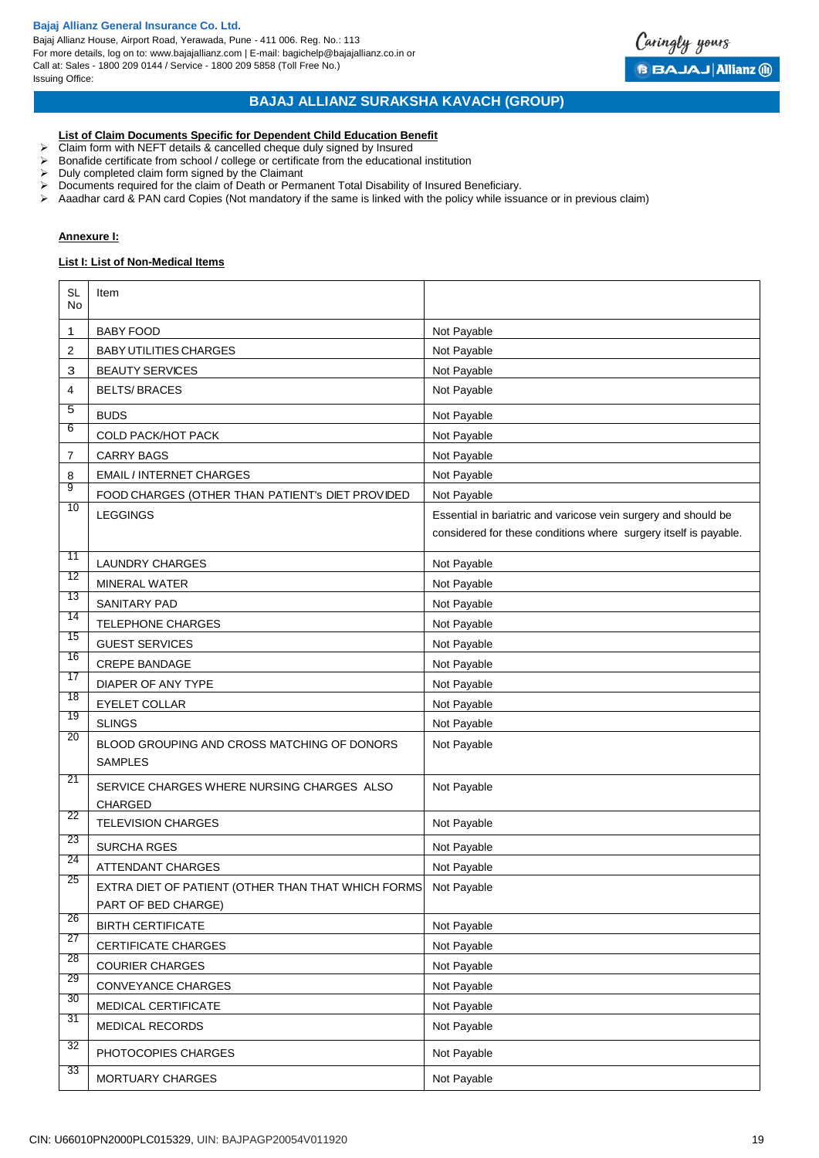Bajaj Allianz House, Airport Road, Yerawada, Pune - 411 006. Reg. No.: 113 For more details, log on to: www.bajajallianz.com | E-mail: bagichelp@bajajallianz.co.in or Call at: Sales - 1800 209 0144 / Service - 1800 209 5858 (Toll Free No.) Issuing Office:



## **BAJAJ ALLIANZ SURAKSHA KAVACH (GROUP)**

#### **List of Claim Documents Specific for Dependent Child Education Benefit**

- $\triangleright$  Claim form with NEFT details & cancelled cheque duly signed by Insured
- $\triangleright$  Bonafide certificate from school / college or certificate from the educational institution
- $\triangleright$  Duly completed claim form signed by the Claimant
- $\triangleright$  Documents required for the claim of Death or Permanent Total Disability of Insured Beneficiary.
- $\triangleright$  Aaadhar card & PAN card Copies (Not mandatory if the same is linked with the policy while issuance or in previous claim)

## **Annexure I:**

#### **List I: List of Non-Medical Items**

| <b>SL</b><br>No | Item                                                          |                                                                  |
|-----------------|---------------------------------------------------------------|------------------------------------------------------------------|
| 1               | <b>BABY FOOD</b>                                              | Not Payable                                                      |
| 2               | <b>BABY UTILITIES CHARGES</b>                                 | Not Payable                                                      |
| З               | <b>BEAUTY SERVICES</b>                                        | Not Payable                                                      |
| 4               | <b>BELTS/BRACES</b>                                           | Not Payable                                                      |
| 5               | <b>BUDS</b>                                                   | Not Payable                                                      |
| 6               | <b>COLD PACK/HOT PACK</b>                                     | Not Payable                                                      |
| 7               | <b>CARRY BAGS</b>                                             | Not Payable                                                      |
| 8               | <b>EMAIL / INTERNET CHARGES</b>                               | Not Payable                                                      |
| 9               | FOOD CHARGES (OTHER THAN PATIENT'S DIET PROVIDED              | Not Payable                                                      |
| 10              | <b>LEGGINGS</b>                                               | Essential in bariatric and varicose vein surgery and should be   |
|                 |                                                               | considered for these conditions where surgery itself is payable. |
| 11              | <b>LAUNDRY CHARGES</b>                                        | Not Payable                                                      |
| 12              | <b>MINERAL WATER</b>                                          | Not Payable                                                      |
| 13              | <b>SANITARY PAD</b>                                           | Not Payable                                                      |
| 14              | <b>TELEPHONE CHARGES</b>                                      | Not Payable                                                      |
| 15              | <b>GUEST SERVICES</b>                                         | Not Payable                                                      |
| 16              | <b>CREPE BANDAGE</b>                                          | Not Payable                                                      |
| 17              | DIAPER OF ANY TYPE                                            | Not Payable                                                      |
| 18              | <b>EYELET COLLAR</b>                                          | Not Payable                                                      |
| 19              | <b>SLINGS</b>                                                 | Not Payable                                                      |
| 20              | BLOOD GROUPING AND CROSS MATCHING OF DONORS<br><b>SAMPLES</b> | Not Payable                                                      |
| 21              | SERVICE CHARGES WHERE NURSING CHARGES ALSO<br>CHARGED         | Not Payable                                                      |
| 22              | <b>TELEVISION CHARGES</b>                                     | Not Payable                                                      |
| 23              | <b>SURCHA RGES</b>                                            | Not Payable                                                      |
| 24              | <b>ATTENDANT CHARGES</b>                                      | Not Payable                                                      |
| 25              | EXTRA DIET OF PATIENT (OTHER THAN THAT WHICH FORMS            | Not Payable                                                      |
| 26              | PART OF BED CHARGE)                                           |                                                                  |
| 27              | <b>BIRTH CERTIFICATE</b>                                      | Not Payable                                                      |
| 28              | CERTIFICATE CHARGES                                           | Not Payable                                                      |
| 29              | <b>COURIER CHARGES</b>                                        | Not Payable                                                      |
| 30              | CONVEYANCE CHARGES                                            | Not Payable                                                      |
| 31              | MEDICAL CERTIFICATE                                           | Not Payable                                                      |
|                 | <b>MEDICAL RECORDS</b>                                        | Not Payable                                                      |
| 32              | PHOTOCOPIES CHARGES                                           | Not Payable                                                      |
| 33              | MORTUARY CHARGES                                              | Not Payable                                                      |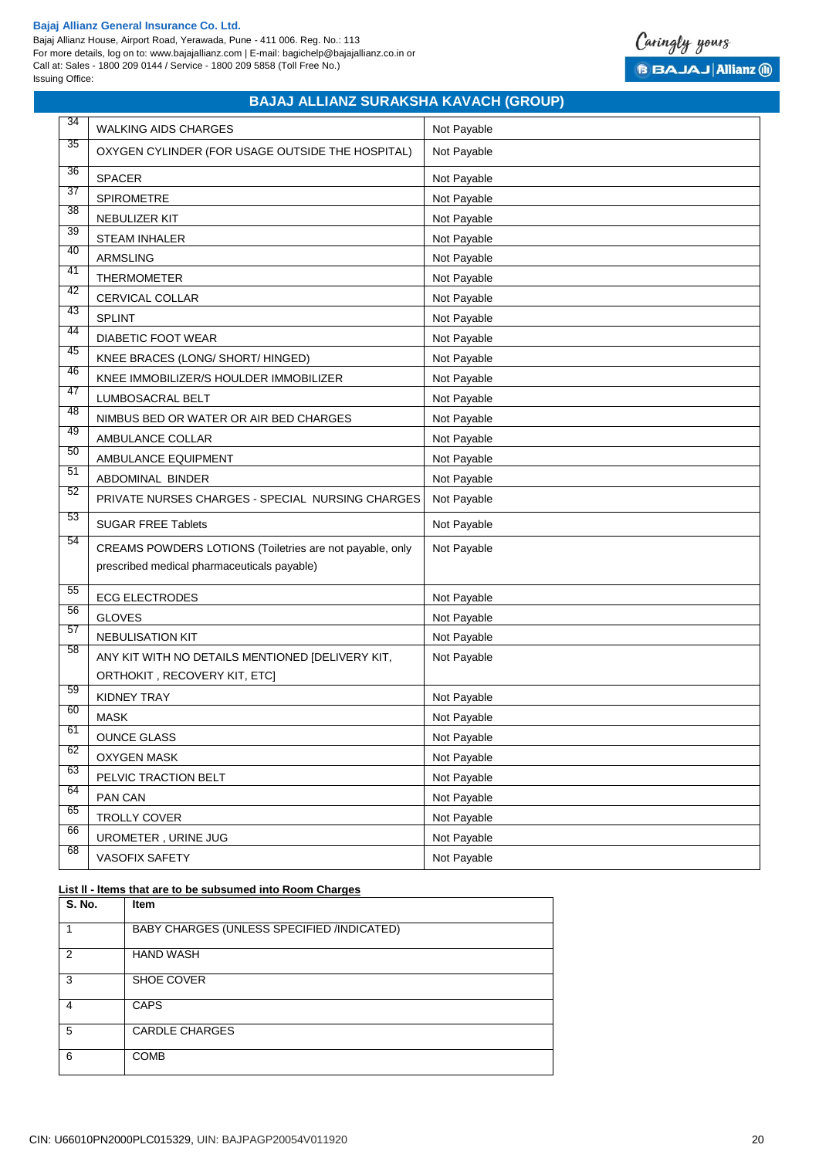Bajaj Allianz House, Airport Road, Yerawada, Pune - 411 006. Reg. No.: 113 For more details, log on to: www.bajajallianz.com | E-mail: bagichelp@bajajallianz.co.in or Call at: Sales - 1800 209 0144 / Service - 1800 209 5858 (Toll Free No.) Issuing Office:



## **BAJAJ ALLIANZ SURAKSHA KAVACH (GROUP)**

| 34 | <b>WALKING AIDS CHARGES</b>                              | Not Payable |
|----|----------------------------------------------------------|-------------|
| 35 | OXYGEN CYLINDER (FOR USAGE OUTSIDE THE HOSPITAL)         | Not Payable |
| 36 | <b>SPACER</b>                                            | Not Payable |
| 37 | <b>SPIROMETRE</b>                                        | Not Payable |
| 38 | <b>NEBULIZER KIT</b>                                     | Not Payable |
| 39 | <b>STEAM INHALER</b>                                     | Not Payable |
| 40 | <b>ARMSLING</b>                                          | Not Payable |
| 41 | <b>THERMOMETER</b>                                       | Not Payable |
| 42 | CERVICAL COLLAR                                          | Not Payable |
| 43 | <b>SPLINT</b>                                            | Not Payable |
| 44 | <b>DIABETIC FOOT WEAR</b>                                | Not Payable |
| 45 | KNEE BRACES (LONG/ SHORT/ HINGED)                        | Not Payable |
| 46 | KNEE IMMOBILIZER/S HOULDER IMMOBILIZER                   | Not Payable |
| 47 | LUMBOSACRAL BELT                                         | Not Payable |
| 48 | NIMBUS BED OR WATER OR AIR BED CHARGES                   | Not Payable |
| 49 | AMBULANCE COLLAR                                         | Not Payable |
| 50 | AMBULANCE EQUIPMENT                                      | Not Payable |
| 51 | ABDOMINAL BINDER                                         | Not Payable |
| 52 | PRIVATE NURSES CHARGES - SPECIAL NURSING CHARGES         | Not Payable |
| 53 | <b>SUGAR FREE Tablets</b>                                | Not Payable |
| 54 | CREAMS POWDERS LOTIONS (Toiletries are not payable, only | Not Payable |
|    | prescribed medical pharmaceuticals payable)              |             |
| 55 | <b>ECG ELECTRODES</b>                                    | Not Payable |
| 56 | <b>GLOVES</b>                                            | Not Payable |
| 57 | <b>NEBULISATION KIT</b>                                  | Not Payable |
| 58 | ANY KIT WITH NO DETAILS MENTIONED [DELIVERY KIT,         | Not Payable |
|    | ORTHOKIT, RECOVERY KIT, ETC]                             |             |
| 59 | <b>KIDNEY TRAY</b>                                       | Not Payable |
| 60 | <b>MASK</b>                                              | Not Payable |
| 61 | <b>OUNCE GLASS</b>                                       | Not Payable |
| 62 | <b>OXYGEN MASK</b>                                       | Not Payable |
| 63 | PELVIC TRACTION BELT                                     | Not Payable |
| 64 | PAN CAN                                                  | Not Payable |
| 65 | TROLLY COVER                                             | Not Payable |
| 66 | UROMETER, URINE JUG                                      | Not Payable |
| 68 | VASOFIX SAFETY                                           | Not Payable |

#### **List ll - ltems that are to be subsumed into Room Charges**

| S. No.        | <b>Item</b>                                |
|---------------|--------------------------------------------|
|               | BABY CHARGES (UNLESS SPECIFIED /INDICATED) |
| $\mathcal{P}$ | <b>HAND WASH</b>                           |
| 3             | SHOE COVER                                 |
| 4             | <b>CAPS</b>                                |
| 5             | <b>CARDLE CHARGES</b>                      |
| 6             | <b>COMB</b>                                |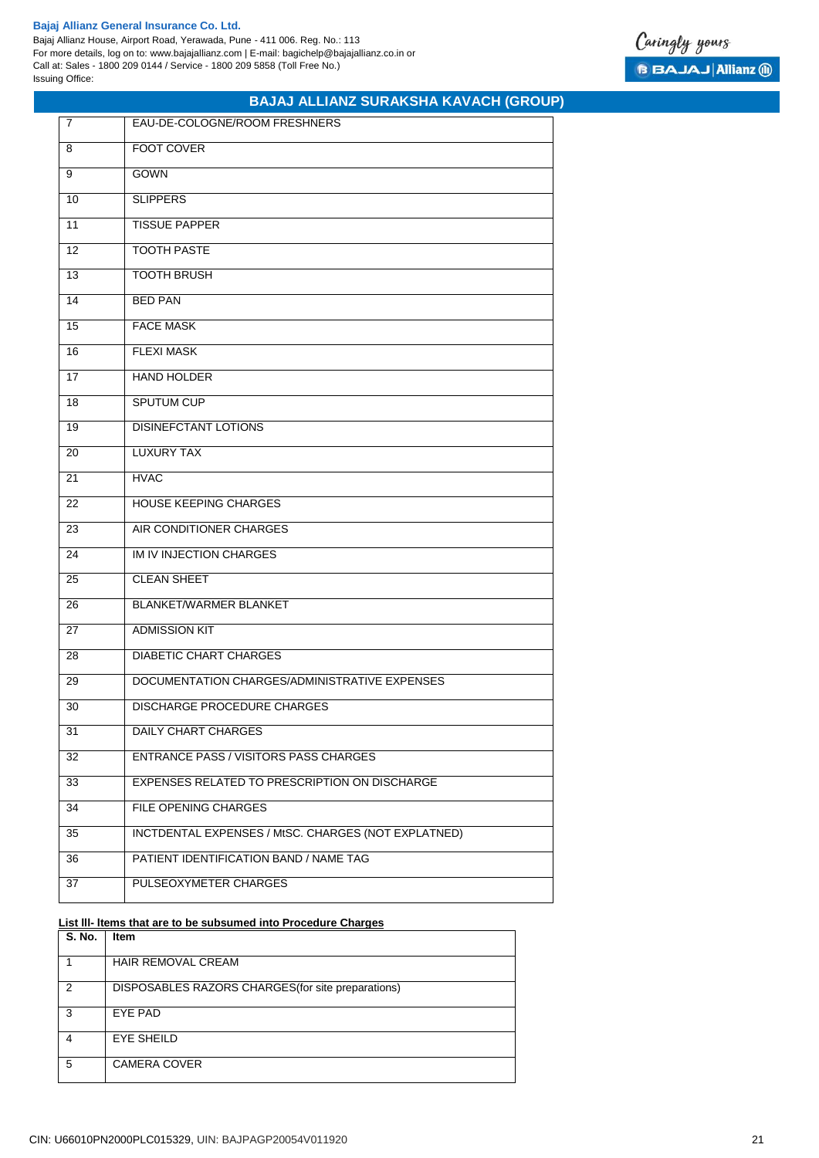Bajaj Allianz House, Airport Road, Yerawada, Pune - 411 006. Reg. No.: 113 For more details, log on to: www.bajajallianz.com | E-mail: bagichelp@bajajallianz.co.in or Call at: Sales - 1800 209 0144 / Service - 1800 209 5858 (Toll Free No.) Issuing Office:

| 7  | EAU-DE-COLOGNE/ROOM FRESHNERS                       |
|----|-----------------------------------------------------|
| 8  | <b>FOOT COVER</b>                                   |
| 9  | <b>GOWN</b>                                         |
| 10 | <b>SLIPPERS</b>                                     |
| 11 | <b>TISSUE PAPPER</b>                                |
| 12 | <b>TOOTH PASTE</b>                                  |
| 13 | <b>TOOTH BRUSH</b>                                  |
| 14 | <b>BED PAN</b>                                      |
| 15 | <b>FACE MASK</b>                                    |
| 16 | <b>FLEXI MASK</b>                                   |
| 17 | <b>HAND HOLDER</b>                                  |
| 18 | <b>SPUTUM CUP</b>                                   |
| 19 | <b>DISINEFCTANT LOTIONS</b>                         |
| 20 | <b>LUXURY TAX</b>                                   |
| 21 | <b>HVAC</b>                                         |
| 22 | <b>HOUSE KEEPING CHARGES</b>                        |
| 23 | AIR CONDITIONER CHARGES                             |
| 24 | IM IV INJECTION CHARGES                             |
| 25 | <b>CLEAN SHEET</b>                                  |
| 26 | <b>BLANKET/WARMER BLANKET</b>                       |
| 27 | <b>ADMISSION KIT</b>                                |
| 28 | <b>DIABETIC CHART CHARGES</b>                       |
| 29 | DOCUMENTATION CHARGES/ADMINISTRATIVE EXPENSES       |
| 30 | <b>DISCHARGE PROCEDURE CHARGES</b>                  |
| 31 | DAILY CHART CHARGES                                 |
| 32 | <b>ENTRANCE PASS / VISITORS PASS CHARGES</b>        |
| 33 | EXPENSES RELATED TO PRESCRIPTION ON DISCHARGE       |
| 34 | FILE OPENING CHARGES                                |
| 35 | INCTDENTAL EXPENSES / MtSC. CHARGES (NOT EXPLATNED) |
| 36 | PATIENT IDENTIFICATION BAND / NAME TAG              |
| 37 | PULSEOXYMETER CHARGES                               |

**BAJAJ ALLIANZ SURAKSHA KAVACH (GROUP)**

#### **List lll- ltems that are to be subsumed into Procedure Charges**

| S. No. | <b>Item</b>                                        |
|--------|----------------------------------------------------|
|        | HAIR REMOVAL CREAM                                 |
| 2      | DISPOSABLES RAZORS CHARGES (for site preparations) |
| 3      | EYE PAD                                            |
|        | <b>EYE SHEILD</b>                                  |
| 5      | <b>CAMERA COVER</b>                                |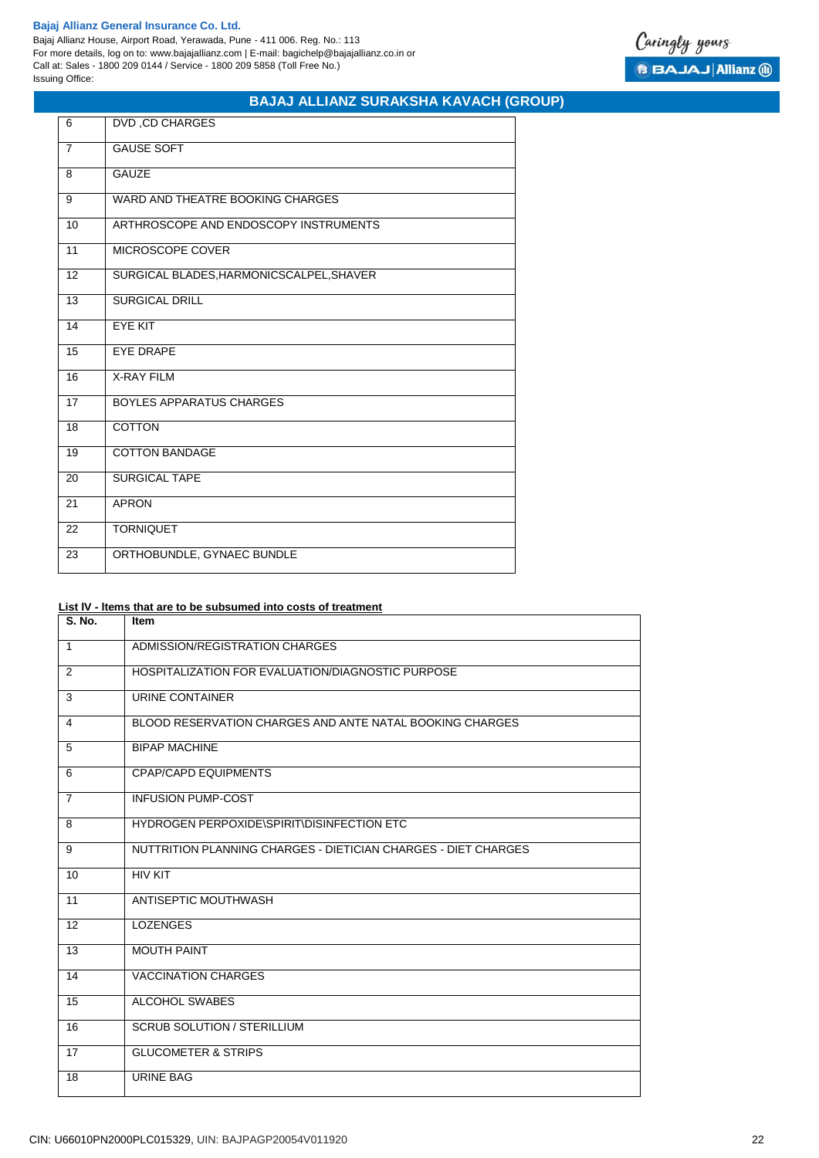Bajaj Allianz House, Airport Road, Yerawada, Pune - 411 006. Reg. No.: 113 For more details, log on to: www.bajajallianz.com | E-mail: bagichelp@bajajallianz.co.in or Call at: Sales - 1800 209 0144 / Service - 1800 209 5858 (Toll Free No.) Issuing Office:



## **BAJAJ ALLIANZ SURAKSHA KAVACH (GROUP)**

| 6              | DVD, CD CHARGES                          |
|----------------|------------------------------------------|
| $\overline{7}$ | <b>GAUSE SOFT</b>                        |
| 8              | <b>GAUZE</b>                             |
| 9              | WARD AND THEATRE BOOKING CHARGES         |
| 10             | ARTHROSCOPE AND ENDOSCOPY INSTRUMENTS    |
| 11             | MICROSCOPE COVER                         |
| 12             | SURGICAL BLADES, HARMONICSCALPEL, SHAVER |
| 13             | <b>SURGICAL DRILL</b>                    |
| 14             | <b>EYE KIT</b>                           |
| 15             | <b>EYE DRAPE</b>                         |
| 16             | <b>X-RAY FILM</b>                        |
| 17             | BOYLES APPARATUS CHARGES                 |
| 18             | <b>COTTON</b>                            |
| 19             | <b>COTTON BANDAGE</b>                    |
| 20             | <b>SURGICAL TAPE</b>                     |
| 21             | <b>APRON</b>                             |
| 22             | <b>TORNIQUET</b>                         |
| 23             | ORTHOBUNDLE, GYNAEC BUNDLE               |

## **List lV - ltems that are to be subsumed into costs of treatment**

| <b>S. No.</b>  | <b>Item</b>                                                    |
|----------------|----------------------------------------------------------------|
| $\mathbf{1}$   | ADMISSION/REGISTRATION CHARGES                                 |
| 2              | HOSPITALIZATION FOR EVALUATION/DIAGNOSTIC PURPOSE              |
| 3              | URINE CONTAINER                                                |
| 4              | BLOOD RESERVATION CHARGES AND ANTE NATAL BOOKING CHARGES       |
| 5              | <b>BIPAP MACHINE</b>                                           |
| 6              | <b>CPAP/CAPD EQUIPMENTS</b>                                    |
| $\overline{7}$ | <b>INFUSION PUMP-COST</b>                                      |
| 8              | HYDROGEN PERPOXIDE\SPIRIT\DISINFECTION ETC                     |
| 9              | NUTTRITION PLANNING CHARGES - DIETICIAN CHARGES - DIET CHARGES |
| 10             | <b>HIV KIT</b>                                                 |
| 11             | ANTISEPTIC MOUTHWASH                                           |
| 12             | <b>LOZENGES</b>                                                |
| 13             | <b>MOUTH PAINT</b>                                             |
| 14             | <b>VACCINATION CHARGES</b>                                     |
| 15             | ALCOHOL SWABES                                                 |
| 16             | <b>SCRUB SOLUTION / STERILLIUM</b>                             |
| 17             | <b>GLUCOMETER &amp; STRIPS</b>                                 |
| 18             | URINE BAG                                                      |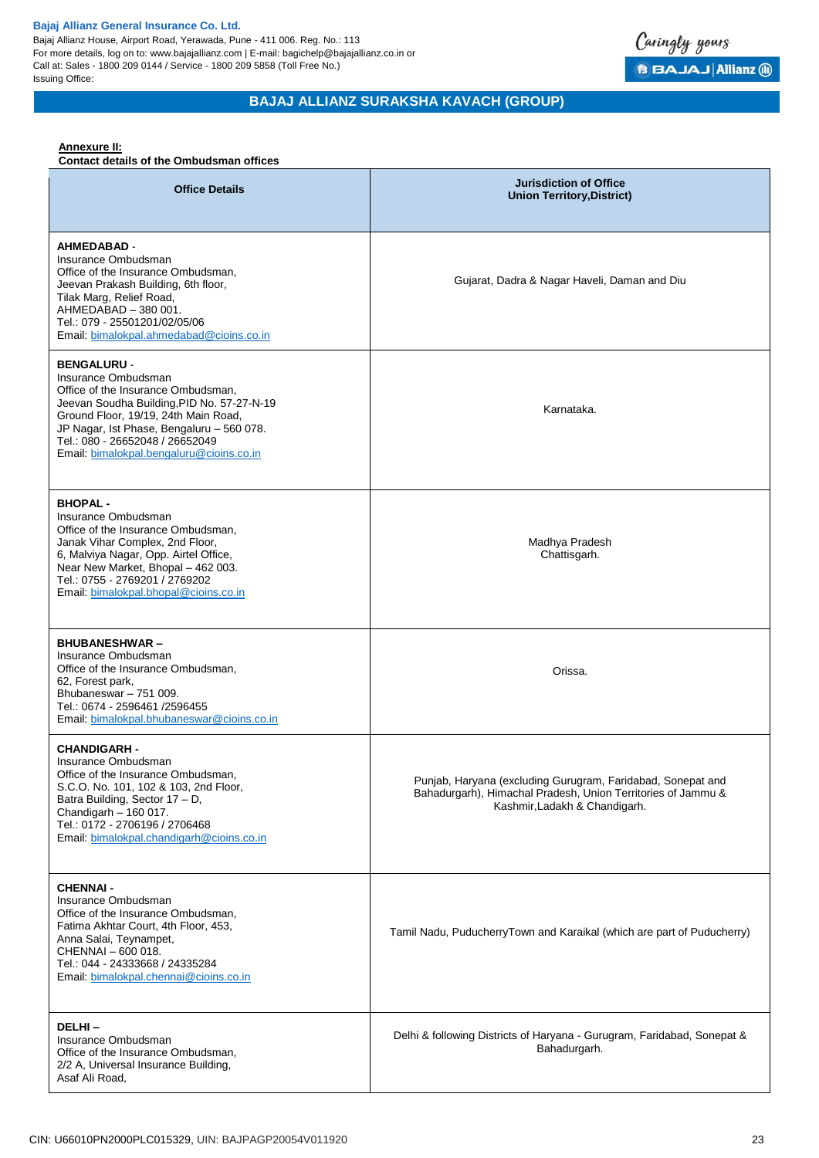Bajaj Allianz House, Airport Road, Yerawada, Pune - 411 006. Reg. No.: 113 For more details, log on to: www.bajajallianz.com | E-mail: bagichelp@bajajallianz.co.in or Call at: Sales - 1800 209 0144 / Service - 1800 209 5858 (Toll Free No.) Issuing Office:



## **BAJAJ ALLIANZ SURAKSHA KAVACH (GROUP)**

## **Annexure II:**

**Contact details of the Ombudsman offices**

| <b>Office Details</b>                                                                                                                                                                                                                                                                             | <b>Jurisdiction of Office</b><br><b>Union Territory, District)</b>                                                                                           |
|---------------------------------------------------------------------------------------------------------------------------------------------------------------------------------------------------------------------------------------------------------------------------------------------------|--------------------------------------------------------------------------------------------------------------------------------------------------------------|
| <b>AHMEDABAD -</b><br>Insurance Ombudsman<br>Office of the Insurance Ombudsman,<br>Jeevan Prakash Building, 6th floor,<br>Tilak Marg, Relief Road,<br>AHMEDABAD - 380 001.<br>Tel.: 079 - 25501201/02/05/06<br>Email: bimalokpal.ahmedabad@cioins.co.in                                           | Gujarat, Dadra & Nagar Haveli, Daman and Diu                                                                                                                 |
| <b>BENGALURU -</b><br>Insurance Ombudsman<br>Office of the Insurance Ombudsman,<br>Jeevan Soudha Building, PID No. 57-27-N-19<br>Ground Floor, 19/19, 24th Main Road,<br>JP Nagar, Ist Phase, Bengaluru - 560 078.<br>Tel.: 080 - 26652048 / 26652049<br>Email: bimalokpal.bengaluru@cioins.co.in | Karnataka.                                                                                                                                                   |
| <b>BHOPAL-</b><br>Insurance Ombudsman<br>Office of the Insurance Ombudsman,<br>Janak Vihar Complex, 2nd Floor,<br>6, Malviya Nagar, Opp. Airtel Office,<br>Near New Market, Bhopal - 462 003.<br>Tel.: 0755 - 2769201 / 2769202<br>Email: bimalokpal.bhopal@cioins.co.in                          | Madhya Pradesh<br>Chattisgarh.                                                                                                                               |
| <b>BHUBANESHWAR-</b><br>Insurance Ombudsman<br>Office of the Insurance Ombudsman,<br>62, Forest park,<br>Bhubaneswar - 751 009.<br>Tel.: 0674 - 2596461 /2596455<br>Email: bimalokpal.bhubaneswar@cioins.co.in                                                                                    | Orissa.                                                                                                                                                      |
| <b>CHANDIGARH -</b><br>Insurance Ombudsman<br>Office of the Insurance Ombudsman.<br>S.C.O. No. 101, 102 & 103, 2nd Floor,<br>Batra Building, Sector 17 - D,<br>Chandigarh - 160 017.<br>Tel.: 0172 - 2706196 / 2706468<br>Email: bimalokpal.chandigarh@cioins.co.in                               | Punjab, Haryana (excluding Gurugram, Faridabad, Sonepat and<br>Bahadurgarh), Himachal Pradesh, Union Territories of Jammu &<br>Kashmir, Ladakh & Chandigarh. |
| <b>CHENNAI -</b><br>Insurance Ombudsman<br>Office of the Insurance Ombudsman,<br>Fatima Akhtar Court, 4th Floor, 453,<br>Anna Salai, Teynampet,<br>CHENNAI - 600 018.<br>Tel.: 044 - 24333668 / 24335284<br>Email: bimalokpal.chennai@cioins.co.in                                                | Tamil Nadu, PuducherryTown and Karaikal (which are part of Puducherry)                                                                                       |
| DELHI-<br>Insurance Ombudsman<br>Office of the Insurance Ombudsman,<br>2/2 A, Universal Insurance Building,<br>Asaf Ali Road,                                                                                                                                                                     | Delhi & following Districts of Haryana - Gurugram, Faridabad, Sonepat &<br>Bahadurgarh.                                                                      |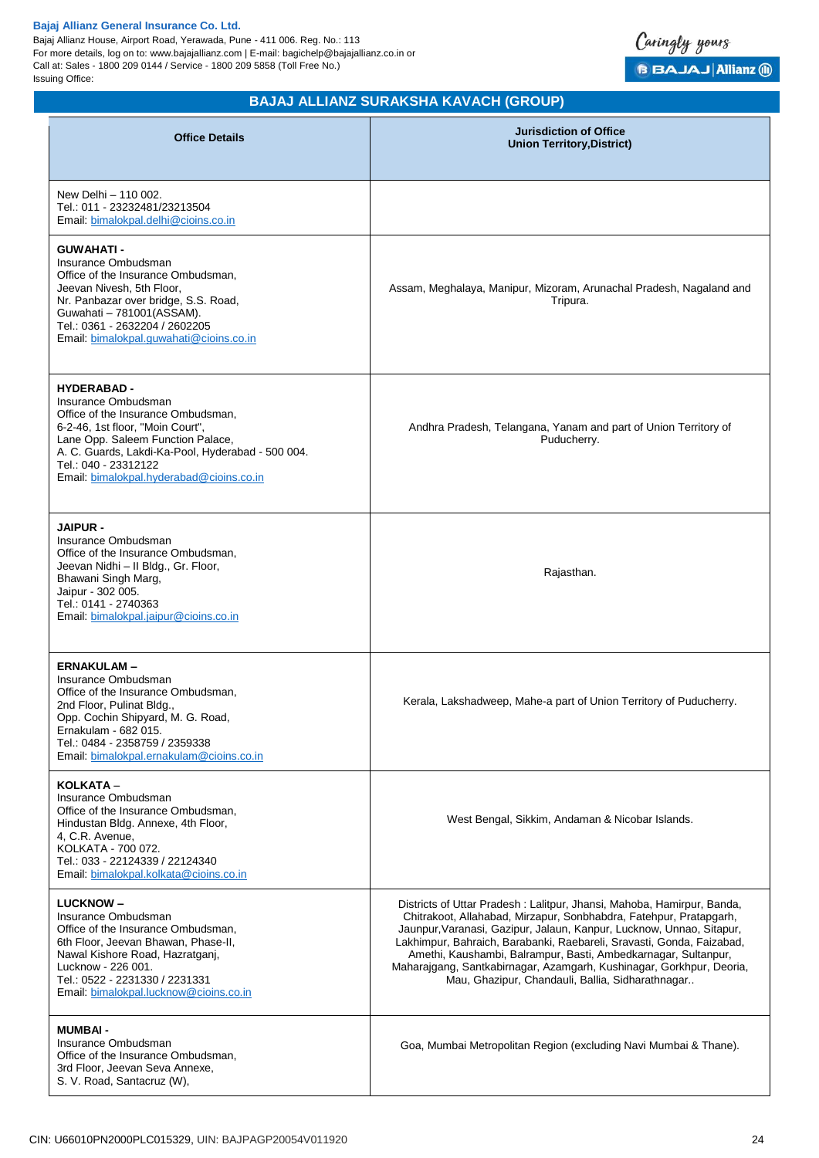Bajaj Allianz House, Airport Road, Yerawada, Pune - 411 006. Reg. No.: 113 For more details, log on to: www.bajajallianz.com | E-mail: bagichelp@bajajallianz.co.in or Call at: Sales - 1800 209 0144 / Service - 1800 209 5858 (Toll Free No.) Issuing Office:



## **BAJAJ ALLIANZ SURAKSHA KAVACH (GROUP)**

| <b>Office Details</b>                                                                                                                                                                                                                                                             | <b>Jurisdiction of Office</b><br><b>Union Territory, District)</b>                                                                                                                                                                                                                                                                                                                                                                                                                          |
|-----------------------------------------------------------------------------------------------------------------------------------------------------------------------------------------------------------------------------------------------------------------------------------|---------------------------------------------------------------------------------------------------------------------------------------------------------------------------------------------------------------------------------------------------------------------------------------------------------------------------------------------------------------------------------------------------------------------------------------------------------------------------------------------|
| New Delhi - 110 002.<br>Tel.: 011 - 23232481/23213504<br>Email. bimalokpal.delhi@cioins.co.in                                                                                                                                                                                     |                                                                                                                                                                                                                                                                                                                                                                                                                                                                                             |
| <b>GUWAHATI -</b><br>Insurance Ombudsman<br>Office of the Insurance Ombudsman,<br>Jeevan Nivesh, 5th Floor,<br>Nr. Panbazar over bridge, S.S. Road,<br>Guwahati - 781001(ASSAM).<br>Tel.: 0361 - 2632204 / 2602205<br>Email: bimalokpal.quwahati@cioins.co.in                     | Assam, Meghalaya, Manipur, Mizoram, Arunachal Pradesh, Nagaland and<br>Tripura.                                                                                                                                                                                                                                                                                                                                                                                                             |
| <b>HYDERABAD -</b><br>Insurance Ombudsman<br>Office of the Insurance Ombudsman,<br>6-2-46, 1st floor, "Moin Court",<br>Lane Opp. Saleem Function Palace,<br>A. C. Guards, Lakdi-Ka-Pool, Hyderabad - 500 004.<br>Tel.: 040 - 23312122<br>Email: bimalokpal.hyderabad@cioins.co.in | Andhra Pradesh, Telangana, Yanam and part of Union Territory of<br>Puducherry.                                                                                                                                                                                                                                                                                                                                                                                                              |
| <b>JAIPUR -</b><br>Insurance Ombudsman<br>Office of the Insurance Ombudsman,<br>Jeevan Nidhi - Il Bldg., Gr. Floor,<br>Bhawani Singh Marg,<br>Jaipur - 302 005.<br>Tel.: 0141 - 2740363<br>Email: bimalokpal.jaipur@cioins.co.in                                                  | Rajasthan.                                                                                                                                                                                                                                                                                                                                                                                                                                                                                  |
| <b>ERNAKULAM-</b><br>Insurance Ombudsman<br>Office of the Insurance Ombudsman,<br>2nd Floor, Pulinat Bldg.,<br>Opp. Cochin Shipyard, M. G. Road,<br>Ernakulam - 682 015.<br>Tel.: 0484 - 2358759 / 2359338<br>Email, bimalokpal.ernakulam@cioins.co.in                            | Kerala, Lakshadweep, Mahe-a part of Union Territory of Puducherry.                                                                                                                                                                                                                                                                                                                                                                                                                          |
| KOLKATA -<br>Insurance Ombudsman<br>Office of the Insurance Ombudsman,<br>Hindustan Bldg. Annexe, 4th Floor,<br>4, C.R. Avenue,<br>KOLKATA - 700 072.<br>Tel.: 033 - 22124339 / 22124340<br>Email: bimalokpal.kolkata@cioins.co.in                                                | West Bengal, Sikkim, Andaman & Nicobar Islands.                                                                                                                                                                                                                                                                                                                                                                                                                                             |
| <b>LUCKNOW-</b><br>Insurance Ombudsman<br>Office of the Insurance Ombudsman,<br>6th Floor, Jeevan Bhawan, Phase-II,<br>Nawal Kishore Road, Hazratganj,<br>Lucknow - 226 001.<br>Tel.: 0522 - 2231330 / 2231331<br>Email: bimalokpal.lucknow@cioins.co.in                          | Districts of Uttar Pradesh: Lalitpur, Jhansi, Mahoba, Hamirpur, Banda,<br>Chitrakoot, Allahabad, Mirzapur, Sonbhabdra, Fatehpur, Pratapgarh,<br>Jaunpur, Varanasi, Gazipur, Jalaun, Kanpur, Lucknow, Unnao, Sitapur,<br>Lakhimpur, Bahraich, Barabanki, Raebareli, Sravasti, Gonda, Faizabad,<br>Amethi, Kaushambi, Balrampur, Basti, Ambedkarnagar, Sultanpur,<br>Maharajgang, Santkabirnagar, Azamgarh, Kushinagar, Gorkhpur, Deoria,<br>Mau, Ghazipur, Chandauli, Ballia, Sidharathnagar |
| <b>MUMBAI-</b><br>Insurance Ombudsman<br>Office of the Insurance Ombudsman,<br>3rd Floor, Jeevan Seva Annexe,<br>S. V. Road, Santacruz (W),                                                                                                                                       | Goa, Mumbai Metropolitan Region (excluding Navi Mumbai & Thane).                                                                                                                                                                                                                                                                                                                                                                                                                            |